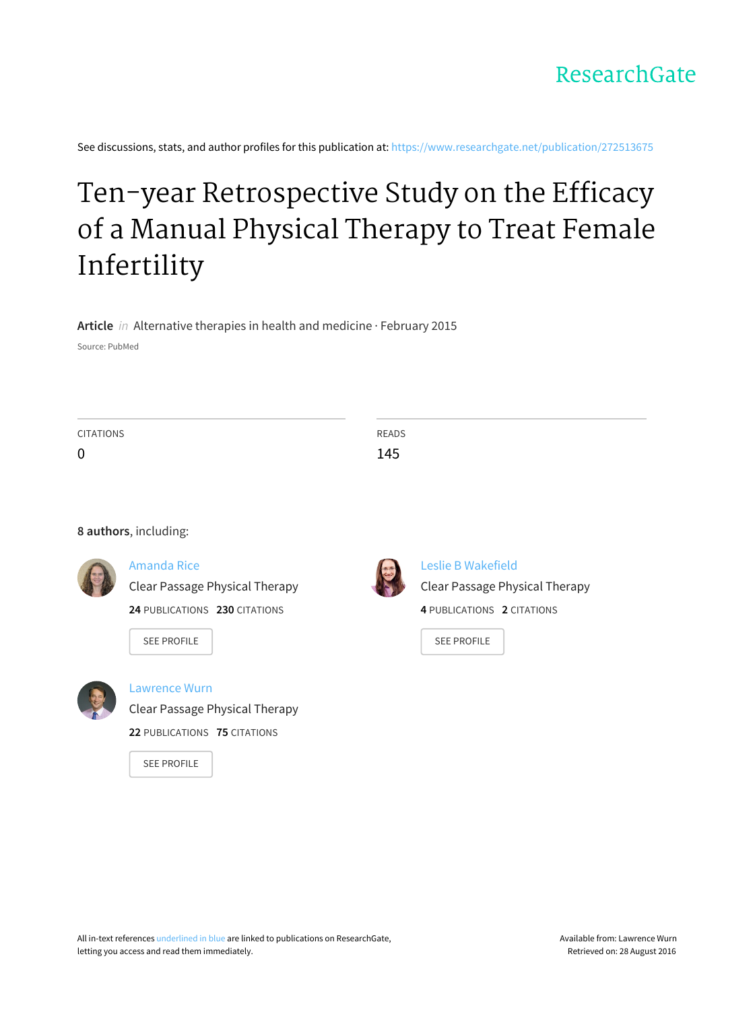

See discussions, stats, and author profiles for this publication at: [https://www.researchgate.net/publication/272513675](https://www.researchgate.net/publication/272513675_Ten-year_Retrospective_Study_on_the_Efficacy_of_a_Manual_Physical_Therapy_to_Treat_Female_Infertility?enrichId=rgreq-bb74cbdd35b6b7f3f8df5222050a7539-XXX&enrichSource=Y292ZXJQYWdlOzI3MjUxMzY3NTtBUzoyMDMzMDc5NDAzNTYxMjJAMTQyNTQ4Mzc5ODg0NA%3D%3D&el=1_x_2)

# Ten-year [Retrospective](https://www.researchgate.net/publication/272513675_Ten-year_Retrospective_Study_on_the_Efficacy_of_a_Manual_Physical_Therapy_to_Treat_Female_Infertility?enrichId=rgreq-bb74cbdd35b6b7f3f8df5222050a7539-XXX&enrichSource=Y292ZXJQYWdlOzI3MjUxMzY3NTtBUzoyMDMzMDc5NDAzNTYxMjJAMTQyNTQ4Mzc5ODg0NA%3D%3D&el=1_x_3) Study on the Efficacy of a Manual Physical Therapy to Treat Female Infertility

**Article** in Alternative therapies in health and medicine · February 2015

Source: PubMed

| <b>CITATIONS</b> |                                       | <b>READS</b> |                                       |
|------------------|---------------------------------------|--------------|---------------------------------------|
| $\mathbf 0$      |                                       | 145          |                                       |
|                  |                                       |              |                                       |
|                  |                                       |              |                                       |
|                  |                                       |              |                                       |
|                  | 8 authors, including:                 |              |                                       |
|                  | <b>Amanda Rice</b>                    |              | Leslie B Wakefield                    |
|                  | <b>Clear Passage Physical Therapy</b> |              | <b>Clear Passage Physical Therapy</b> |
|                  |                                       |              |                                       |

**24** PUBLICATIONS **230** CITATIONS

SEE [PROFILE](https://www.researchgate.net/profile/Amanda_Rice?enrichId=rgreq-bb74cbdd35b6b7f3f8df5222050a7539-XXX&enrichSource=Y292ZXJQYWdlOzI3MjUxMzY3NTtBUzoyMDMzMDc5NDAzNTYxMjJAMTQyNTQ4Mzc5ODg0NA%3D%3D&el=1_x_7)



[Lawrence](https://www.researchgate.net/profile/Lawrence_Wurn?enrichId=rgreq-bb74cbdd35b6b7f3f8df5222050a7539-XXX&enrichSource=Y292ZXJQYWdlOzI3MjUxMzY3NTtBUzoyMDMzMDc5NDAzNTYxMjJAMTQyNTQ4Mzc5ODg0NA%3D%3D&el=1_x_5) Wurn

Clear Passage [Physical](https://www.researchgate.net/institution/Clear_Passage_Physical_Therapy?enrichId=rgreq-bb74cbdd35b6b7f3f8df5222050a7539-XXX&enrichSource=Y292ZXJQYWdlOzI3MjUxMzY3NTtBUzoyMDMzMDc5NDAzNTYxMjJAMTQyNTQ4Mzc5ODg0NA%3D%3D&el=1_x_6) Therapy **22** PUBLICATIONS **75** CITATIONS

SEE [PROFILE](https://www.researchgate.net/profile/Lawrence_Wurn?enrichId=rgreq-bb74cbdd35b6b7f3f8df5222050a7539-XXX&enrichSource=Y292ZXJQYWdlOzI3MjUxMzY3NTtBUzoyMDMzMDc5NDAzNTYxMjJAMTQyNTQ4Mzc5ODg0NA%3D%3D&el=1_x_7)

**4** PUBLICATIONS **2** CITATIONS

SEE [PROFILE](https://www.researchgate.net/profile/Leslie_Wakefield?enrichId=rgreq-bb74cbdd35b6b7f3f8df5222050a7539-XXX&enrichSource=Y292ZXJQYWdlOzI3MjUxMzY3NTtBUzoyMDMzMDc5NDAzNTYxMjJAMTQyNTQ4Mzc5ODg0NA%3D%3D&el=1_x_7)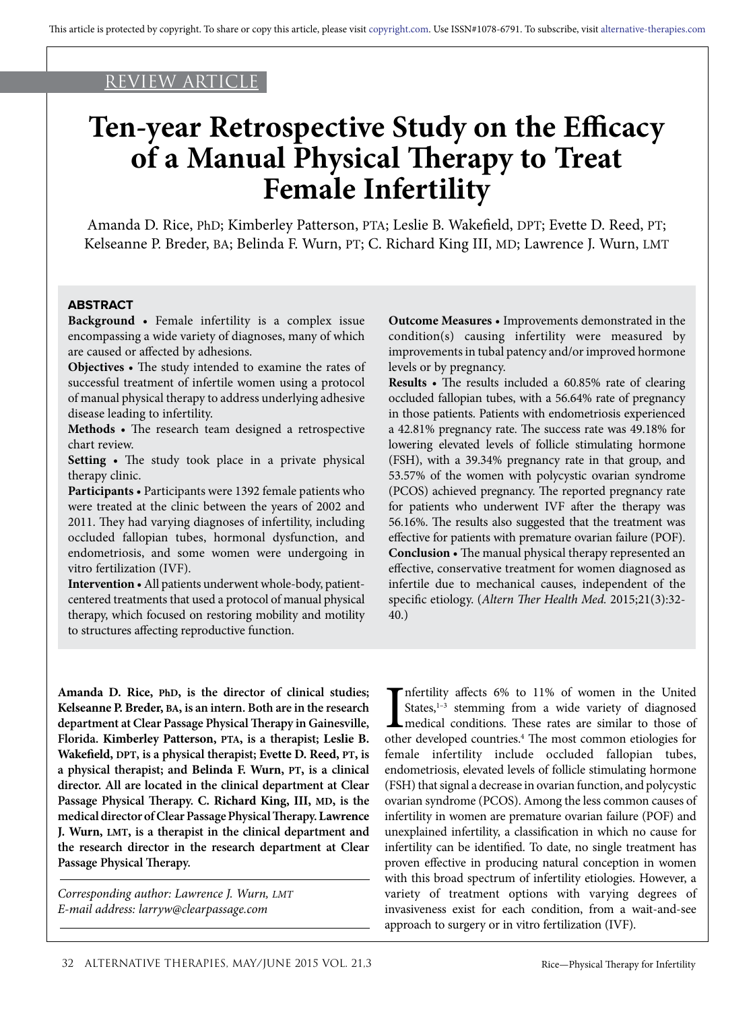## REVIEW ARTICLE

# **Ten-year Retrospective Study on the Efficacy of a Manual Physical Therapy to Treat Female Infertility**

Amanda D. Rice, PhD; Kimberley Patterson, PTA; Leslie B. Wakefield, DPT; Evette D. Reed, PT; Kelseanne P. Breder, BA; Belinda F. Wurn, PT; C. Richard King III, MD; Lawrence J. Wurn, LMT

#### **ABSTRACT**

**Background** • Female infertility is a complex issue encompassing a wide variety of diagnoses, many of which are caused or affected by adhesions.

**Objectives** • The study intended to examine the rates of successful treatment of infertile women using a protocol of manual physical therapy to address underlying adhesive disease leading to infertility.

**Methods** • The research team designed a retrospective chart review.

**Setting** • The study took place in a private physical therapy clinic.

**Participants** • Participants were 1392 female patients who were treated at the clinic between the years of 2002 and 2011. They had varying diagnoses of infertility, including occluded fallopian tubes, hormonal dysfunction, and endometriosis, and some women were undergoing in vitro fertilization (IVF).

**Intervention** • All patients underwent whole-body, patientcentered treatments that used a protocol of manual physical therapy, which focused on restoring mobility and motility to structures affecting reproductive function.

**Outcome Measures** • Improvements demonstrated in the condition(s) causing infertility were measured by improvements in tubal patency and/or improved hormone levels or by pregnancy.

**Results** • The results included a 60.85% rate of clearing occluded fallopian tubes, with a 56.64% rate of pregnancy in those patients. Patients with endometriosis experienced a 42.81% pregnancy rate. The success rate was 49.18% for lowering elevated levels of follicle stimulating hormone (FSH), with a 39.34% pregnancy rate in that group, and 53.57% of the women with polycystic ovarian syndrome (PCOS) achieved pregnancy. The reported pregnancy rate for patients who underwent IVF after the therapy was 56.16%. The results also suggested that the treatment was effective for patients with premature ovarian failure (POF). **Conclusion** • The manual physical therapy represented an effective, conservative treatment for women diagnosed as infertile due to mechanical causes, independent of the specific etiology. (*Altern Ther Health Med.* 2015;21(3):32- 40.)

**Amanda D. Rice, PhD, is the director of clinical studies; Kelseanne P. Breder, BA, is an intern. Both are in the research department at Clear Passage Physical Therapy in Gainesville, Florida. Kimberley Patterson, PTA, is a therapist; Leslie B. Wakefield, DPT, is a physical therapist; Evette D. Reed, PT, is a physical therapist; and Belinda F. Wurn, PT, is a clinical director. All are located in the clinical department at Clear Passage Physical Therapy. C. Richard King, III, MD, is the medical director of Clear Passage Physical Therapy. Lawrence J. Wurn, LMT, is a therapist in the clinical department and the research director in the research department at Clear Passage Physical Therapy.**

*Corresponding author: Lawrence J. Wurn, LMT E-mail address: larryw@clearpassage.com*

Infertility affects 6% to 11% of women in the United States,<sup>1-3</sup> stemming from a wide variety of diagnosed medical conditions. These rates are similar to those of other developed countries.<sup>4</sup> The most common etiologies f nfertility affects 6% to 11% of women in the United States,<sup>1-3</sup> stemming from a wide variety of diagnosed medical conditions. These rates are similar to those of female infertility include occluded fallopian tubes, endometriosis, elevated levels of follicle stimulating hormone (FSH) that signal a decrease in ovarian function, and polycystic ovarian syndrome (PCOS). Among the less common causes of infertility in women are premature ovarian failure (POF) and unexplained infertility, a classification in which no cause for infertility can be identified. To date, no single treatment has proven effective in producing natural conception in women with this broad spectrum of infertility etiologies. However, a variety of treatment options with varying degrees of invasiveness exist for each condition, from a wait-and-see approach to surgery or in vitro fertilization (IVF).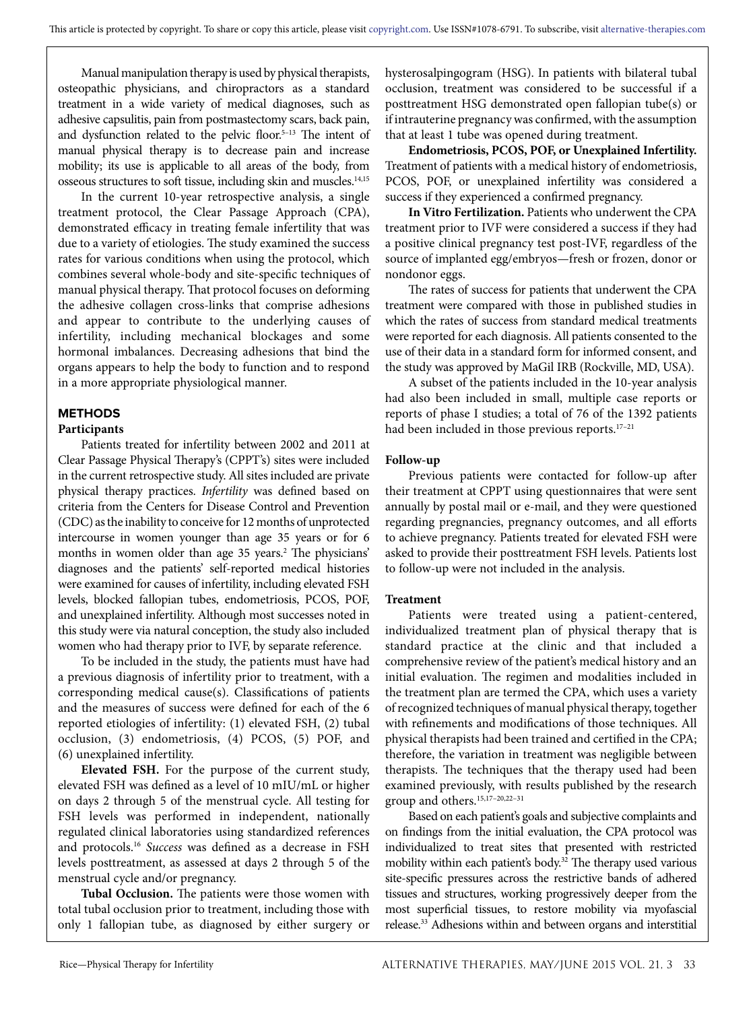Manual manipulation therapy is used by physical therapists, osteopathic physicians, and chiropractors as a standard treatment in a wide variety of medical diagnoses, such as adhesive capsulitis, pain from postmastectomy scars, back pain, and dysfunction related to the pelvic floor.<sup>5-13</sup> The intent of manual physical therapy is to decrease pain and increase mobility; its use is applicable to all areas of the body, from osseous structures to soft tissue, including skin and muscles.14,15

In the current 10-year retrospective analysis, a single treatment protocol, the Clear Passage Approach (CPA), demonstrated efficacy in treating female infertility that was due to a variety of etiologies. The study examined the success rates for various conditions when using the protocol, which combines several whole-body and site-specific techniques of manual physical therapy. That protocol focuses on deforming the adhesive collagen cross-links that comprise adhesions and appear to contribute to the underlying causes of infertility, including mechanical blockages and some hormonal imbalances. Decreasing adhesions that bind the organs appears to help the body to function and to respond in a more appropriate physiological manner.

## **METHODS**

#### **Participants**

Patients treated for infertility between 2002 and 2011 at Clear Passage Physical Therapy's (CPPT's) sites were included in the current retrospective study. All sites included are private physical therapy practices. *Infertility* was defined based on criteria from the Centers for Disease Control and Prevention (CDC) as the inability to conceive for 12 months of unprotected intercourse in women younger than age 35 years or for 6 months in women older than age 35 years.<sup>2</sup> The physicians' diagnoses and the patients' self-reported medical histories were examined for causes of infertility, including elevated FSH levels, blocked fallopian tubes, endometriosis, PCOS, POF, and unexplained infertility. Although most successes noted in this study were via natural conception, the study also included women who had therapy prior to IVF, by separate reference.

To be included in the study, the patients must have had a previous diagnosis of infertility prior to treatment, with a corresponding medical cause(s). Classifications of patients and the measures of success were defined for each of the 6 reported etiologies of infertility: (1) elevated FSH, (2) tubal occlusion, (3) endometriosis, (4) PCOS, (5) POF, and (6) unexplained infertility.

**Elevated FSH.** For the purpose of the current study, elevated FSH was defined as a level of 10 mIU/mL or higher on days 2 through 5 of the menstrual cycle. All testing for FSH levels was performed in independent, nationally regulated clinical laboratories using standardized references and protocols.16 *Success* was defined as a decrease in FSH levels posttreatment, as assessed at days 2 through 5 of the menstrual cycle and/or pregnancy.

**Tubal Occlusion.** The patients were those women with total tubal occlusion prior to treatment, including those with only 1 fallopian tube, as diagnosed by either surgery or hysterosalpingogram (HSG). In patients with bilateral tubal occlusion, treatment was considered to be successful if a posttreatment HSG demonstrated open fallopian tube(s) or if intrauterine pregnancy was confirmed, with the assumption that at least 1 tube was opened during treatment.

**Endometriosis, PCOS, POF, or Unexplained Infertility.** Treatment of patients with a medical history of endometriosis, PCOS, POF, or unexplained infertility was considered a success if they experienced a confirmed pregnancy.

**In Vitro Fertilization.** Patients who underwent the CPA treatment prior to IVF were considered a success if they had a positive clinical pregnancy test post-IVF, regardless of the source of implanted egg/embryos—fresh or frozen, donor or nondonor eggs.

The rates of success for patients that underwent the CPA treatment were compared with those in published studies in which the rates of success from standard medical treatments were reported for each diagnosis. All patients consented to the use of their data in a standard form for informed consent, and the study was approved by MaGil IRB (Rockville, MD, USA).

A subset of the patients included in the 10-year analysis had also been included in small, multiple case reports or reports of phase I studies; a total of 76 of the 1392 patients had been included in those previous reports.<sup>17-21</sup>

#### **Follow-up**

Previous patients were contacted for follow-up after their treatment at CPPT using questionnaires that were sent annually by postal mail or e-mail, and they were questioned regarding pregnancies, pregnancy outcomes, and all efforts to achieve pregnancy. Patients treated for elevated FSH were asked to provide their posttreatment FSH levels. Patients lost to follow-up were not included in the analysis.

#### **Treatment**

Patients were treated using a patient-centered, individualized treatment plan of physical therapy that is standard practice at the clinic and that included a comprehensive review of the patient's medical history and an initial evaluation. The regimen and modalities included in the treatment plan are termed the CPA, which uses a variety of recognized techniques of manual physical therapy, together with refinements and modifications of those techniques. All physical therapists had been trained and certified in the CPA; therefore, the variation in treatment was negligible between therapists. The techniques that the therapy used had been examined previously, with results published by the research group and others.15,17–20,22–31

Based on each patient's goals and subjective complaints and on findings from the initial evaluation, the CPA protocol was individualized to treat sites that presented with restricted mobility within each patient's body.<sup>32</sup> The therapy used various site-specific pressures across the restrictive bands of adhered tissues and structures, working progressively deeper from the most superficial tissues, to restore mobility via myofascial release.33 Adhesions within and between organs and interstitial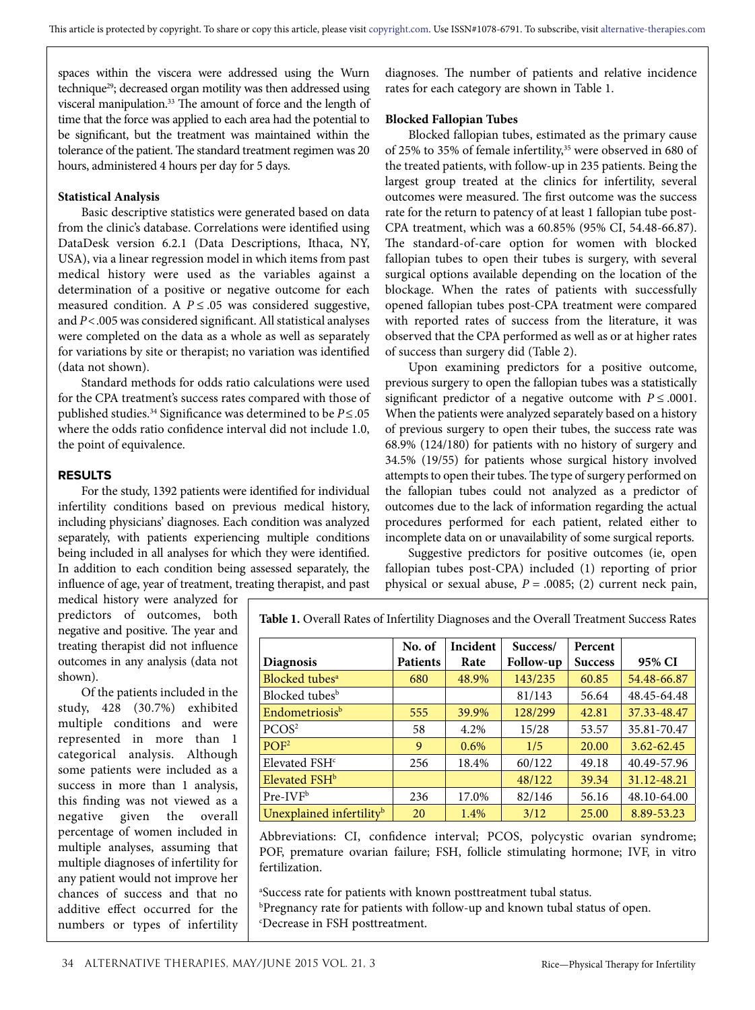spaces within the viscera were addressed using the Wurn technique<sup>29</sup>; decreased organ motility was then addressed using visceral manipulation.33 The amount of force and the length of time that the force was applied to each area had the potential to be significant, but the treatment was maintained within the tolerance of the patient. The standard treatment regimen was 20 hours, administered 4 hours per day for 5 days.

#### **Statistical Analysis**

Basic descriptive statistics were generated based on data from the clinic's database. Correlations were identified using DataDesk version 6.2.1 (Data Descriptions, Ithaca, NY, USA), via a linear regression model in which items from past medical history were used as the variables against a determination of a positive or negative outcome for each measured condition. A  $P \leq 0.05$  was considered suggestive, and *P*<.005 was considered significant. All statistical analyses were completed on the data as a whole as well as separately for variations by site or therapist; no variation was identified (data not shown).

Standard methods for odds ratio calculations were used for the CPA treatment's success rates compared with those of published studies.34 Significance was determined to be *P*≤.05 where the odds ratio confidence interval did not include 1.0, the point of equivalence.

#### **RESULTS**

For the study, 1392 patients were identified for individual infertility conditions based on previous medical history, including physicians' diagnoses. Each condition was analyzed separately, with patients experiencing multiple conditions being included in all analyses for which they were identified. In addition to each condition being assessed separately, the influence of age, year of treatment, treating therapist, and past diagnoses. The number of patients and relative incidence rates for each category are shown in Table 1.

#### **Blocked Fallopian Tubes**

Blocked fallopian tubes, estimated as the primary cause of 25% to 35% of female infertility,<sup>35</sup> were observed in 680 of the treated patients, with follow-up in 235 patients. Being the largest group treated at the clinics for infertility, several outcomes were measured. The first outcome was the success rate for the return to patency of at least 1 fallopian tube post-CPA treatment, which was a 60.85% (95% CI, 54.48-66.87). The standard-of-care option for women with blocked fallopian tubes to open their tubes is surgery, with several surgical options available depending on the location of the blockage. When the rates of patients with successfully opened fallopian tubes post-CPA treatment were compared with reported rates of success from the literature, it was observed that the CPA performed as well as or at higher rates of success than surgery did (Table 2).

Upon examining predictors for a positive outcome, previous surgery to open the fallopian tubes was a statistically significant predictor of a negative outcome with  $P \le 0.0001$ . When the patients were analyzed separately based on a history of previous surgery to open their tubes, the success rate was 68.9% (124/180) for patients with no history of surgery and 34.5% (19/55) for patients whose surgical history involved attempts to open their tubes. The type of surgery performed on the fallopian tubes could not analyzed as a predictor of outcomes due to the lack of information regarding the actual procedures performed for each patient, related either to incomplete data on or unavailability of some surgical reports.

Suggestive predictors for positive outcomes (ie, open fallopian tubes post-CPA) included (1) reporting of prior physical or sexual abuse, *P* = .0085; (2) current neck pain,

medical history were analyzed for predictors of outcomes, both negative and positive. The year and treating therapist did not influence outcomes in any analysis (data not shown).

Of the patients included in the study, 428 (30.7%) exhibited multiple conditions and were represented in more than 1 categorical analysis. Although some patients were included as a success in more than 1 analysis, this finding was not viewed as a negative given the overall percentage of women included in multiple analyses, assuming that multiple diagnoses of infertility for any patient would not improve her chances of success and that no additive effect occurred for the numbers or types of infertility **Table 1.** Overall Rates of Infertility Diagnoses and the Overall Treatment Success Rates

|                                      | No. of          | Incident | Success/         | Percent        |             |
|--------------------------------------|-----------------|----------|------------------|----------------|-------------|
| <b>Diagnosis</b>                     | <b>Patients</b> | Rate     | <b>Follow-up</b> | <b>Success</b> | 95% CI      |
| Blocked tubes <sup>a</sup>           | 680             | 48.9%    | 143/235          | 60.85          | 54.48-66.87 |
| Blocked tubes <sup>b</sup>           |                 |          | 81/143           | 56.64          | 48.45-64.48 |
| Endometriosis <sup>b</sup>           | 555             | 39.9%    | 128/299          | 42.81          | 37.33-48.47 |
| PCOS <sup>2</sup>                    | 58              | 4.2%     | 15/28            | 53.57          | 35.81-70.47 |
| $P$ OF <sup>2</sup>                  | 9               | $0.6\%$  | 1/5              | 20.00          | 3.62-62.45  |
| Elevated FSH <sup>c</sup>            | 256             | 18.4%    | 60/122           | 49.18          | 40.49-57.96 |
| Elevated FSH <sup>b</sup>            |                 |          | 48/122           | 39.34          | 31.12-48.21 |
| $Pre-IVFb$                           | 236             | 17.0%    | 82/146           | 56.16          | 48.10-64.00 |
| Unexplained infertility <sup>b</sup> | 20              | 1.4%     | 3/12             | 25.00          | 8.89-53.23  |

Abbreviations: CI, confidence interval; PCOS, polycystic ovarian syndrome; POF, premature ovarian failure; FSH, follicle stimulating hormone; IVF, in vitro fertilization.

a Success rate for patients with known posttreatment tubal status.

b Pregnancy rate for patients with follow-up and known tubal status of open. c Decrease in FSH posttreatment.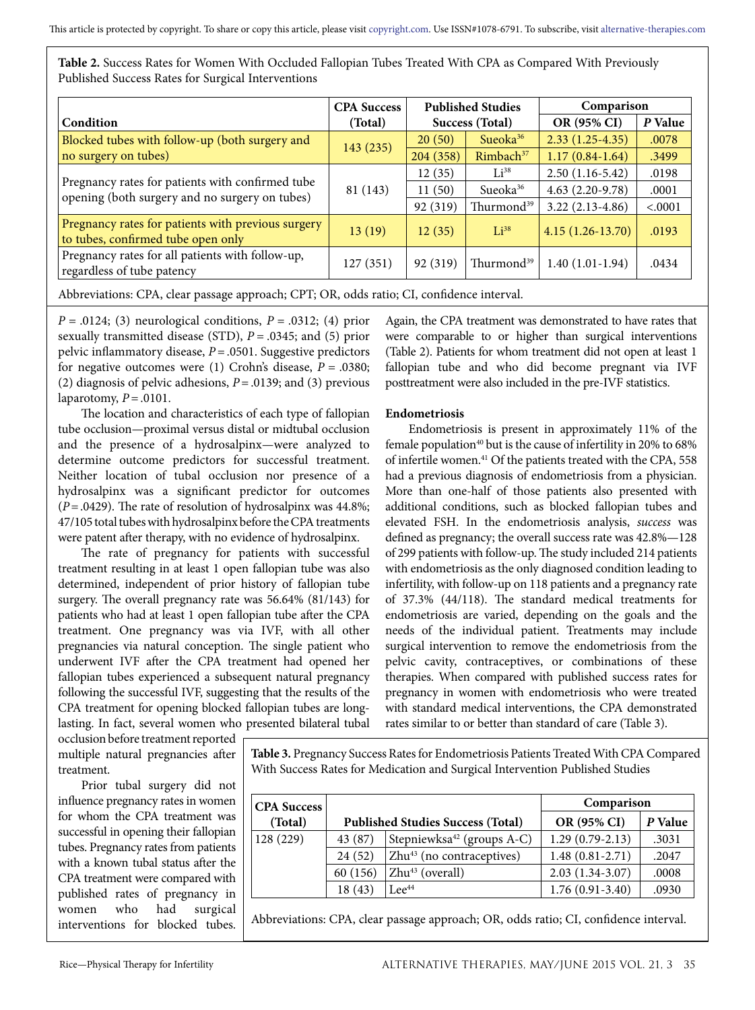| Table 2. Success Rates for Women With Occluded Fallopian Tubes Treated With CPA as Compared With Previously |  |
|-------------------------------------------------------------------------------------------------------------|--|
| Published Success Rates for Surgical Interventions                                                          |  |

|                                                                                                    | <b>CPA Success</b> | <b>Published Studies</b><br>Success (Total) |                        | Comparison         |         |
|----------------------------------------------------------------------------------------------------|--------------------|---------------------------------------------|------------------------|--------------------|---------|
| Condition                                                                                          | (Total)            |                                             |                        | OR (95% CI)        | P Value |
| Blocked tubes with follow-up (both surgery and                                                     | 143(235)           | 20(50)                                      | Sueoka $36$            | $2.33(1.25-4.35)$  | .0078   |
| no surgery on tubes)                                                                               |                    | 204 (358)                                   | Rimbach <sup>37</sup>  | $1.17(0.84-1.64)$  | .3499   |
|                                                                                                    |                    | 12(35)                                      | $Li^{38}$              | $2.50(1.16-5.42)$  | .0198   |
| Pregnancy rates for patients with confirmed tube<br>opening (both surgery and no surgery on tubes) | 81 (143)           | 11(50)                                      | Sueoka <sup>36</sup>   | $4.63(2.20-9.78)$  | .0001   |
|                                                                                                    |                    | 92 (319)                                    | Thurmond <sup>39</sup> | $3.22(2.13-4.86)$  | < .0001 |
| Pregnancy rates for patients with previous surgery<br>to tubes, confirmed tube open only           | 13(19)             | 12(35)                                      | $Li^{38}$              | $4.15(1.26-13.70)$ | .0193   |
| Pregnancy rates for all patients with follow-up,<br>regardless of tube patency                     | 127(351)           | 92 (319)                                    | Thurmond <sup>39</sup> | $1.40(1.01-1.94)$  | .0434   |

Abbreviations: CPA, clear passage approach; CPT; OR, odds ratio; CI, confidence interval.

*P* = .0124; (3) neurological conditions, *P* = .0312; (4) prior sexually transmitted disease (STD), *P* = .0345; and (5) prior pelvic inflammatory disease, *P* = .0501. Suggestive predictors for negative outcomes were (1) Crohn's disease, *P* = .0380; (2) diagnosis of pelvic adhesions,  $P = .0139$ ; and (3) previous laparotomy,  $P = .0101$ .

The location and characteristics of each type of fallopian tube occlusion—proximal versus distal or midtubal occlusion and the presence of a hydrosalpinx—were analyzed to determine outcome predictors for successful treatment. Neither location of tubal occlusion nor presence of a hydrosalpinx was a significant predictor for outcomes (*P*=.0429). The rate of resolution of hydrosalpinx was 44.8%; 47/105 total tubes with hydrosalpinx before the CPA treatments were patent after therapy, with no evidence of hydrosalpinx.

The rate of pregnancy for patients with successful treatment resulting in at least 1 open fallopian tube was also determined, independent of prior history of fallopian tube surgery. The overall pregnancy rate was 56.64% (81/143) for patients who had at least 1 open fallopian tube after the CPA treatment. One pregnancy was via IVF, with all other pregnancies via natural conception. The single patient who underwent IVF after the CPA treatment had opened her fallopian tubes experienced a subsequent natural pregnancy following the successful IVF, suggesting that the results of the CPA treatment for opening blocked fallopian tubes are longlasting. In fact, several women who presented bilateral tubal

Again, the CPA treatment was demonstrated to have rates that were comparable to or higher than surgical interventions (Table 2). Patients for whom treatment did not open at least 1 fallopian tube and who did become pregnant via IVF posttreatment were also included in the pre-IVF statistics.

### **Endometriosis**

Endometriosis is present in approximately 11% of the female population<sup>40</sup> but is the cause of infertility in 20% to 68% of infertile women.41 Of the patients treated with the CPA, 558 had a previous diagnosis of endometriosis from a physician. More than one-half of those patients also presented with additional conditions, such as blocked fallopian tubes and elevated FSH. In the endometriosis analysis, *success* was defined as pregnancy; the overall success rate was 42.8%—128 of 299 patients with follow-up. The study included 214 patients with endometriosis as the only diagnosed condition leading to infertility, with follow-up on 118 patients and a pregnancy rate of 37.3% (44/118). The standard medical treatments for endometriosis are varied, depending on the goals and the needs of the individual patient. Treatments may include surgical intervention to remove the endometriosis from the pelvic cavity, contraceptives, or combinations of these therapies. When compared with published success rates for pregnancy in women with endometriosis who were treated with standard medical interventions, the CPA demonstrated rates similar to or better than standard of care (Table 3).

occlusion before treatment reported multiple natural pregnancies after treatment.

Prior tubal surgery did not influence pregnancy rates in women for whom the CPA treatment was successful in opening their fallopian tubes. Pregnancy rates from patients with a known tubal status after the CPA treatment were compared with published rates of pregnancy in women who had surgical interventions for blocked tubes.

**Table 3.** Pregnancy Success Rates for Endometriosis Patients Treated With CPA Compared With Success Rates for Medication and Surgical Intervention Published Studies

| <b>CPA</b> Success |          |                                          | Comparison          |         |  |
|--------------------|----------|------------------------------------------|---------------------|---------|--|
| (Total)            |          | <b>Published Studies Success (Total)</b> | OR (95% CI)         | P Value |  |
| 128(229)           | 43 (87)  | Stepniewksa <sup>42</sup> (groups A-C)   | $1.29(0.79-2.13)$   | .3031   |  |
|                    | 24(52)   | $Zhu^{43}$ (no contraceptives)           | $1.48(0.81 - 2.71)$ | .2047   |  |
|                    | 60 (156) | $Zhu^{43}$ (overall)                     | $2.03(1.34-3.07)$   | .0008   |  |
|                    | 18(43)   | $Lee^{44}$                               | $1.76(0.91 - 3.40)$ | .0930   |  |

Abbreviations: CPA, clear passage approach; OR, odds ratio; CI, confidence interval.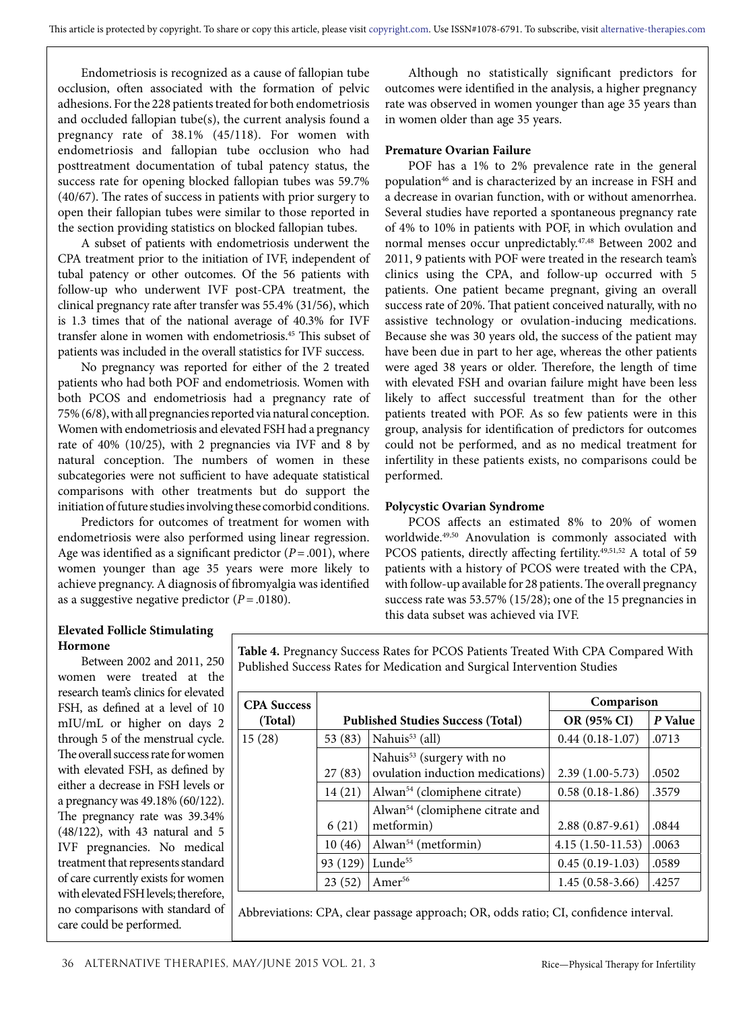Endometriosis is recognized as a cause of fallopian tube occlusion, often associated with the formation of pelvic adhesions. For the 228 patients treated for both endometriosis and occluded fallopian tube(s), the current analysis found a pregnancy rate of 38.1% (45/118). For women with endometriosis and fallopian tube occlusion who had posttreatment documentation of tubal patency status, the success rate for opening blocked fallopian tubes was 59.7% (40/67). The rates of success in patients with prior surgery to open their fallopian tubes were similar to those reported in the section providing statistics on blocked fallopian tubes.

A subset of patients with endometriosis underwent the CPA treatment prior to the initiation of IVF, independent of tubal patency or other outcomes. Of the 56 patients with follow-up who underwent IVF post-CPA treatment, the clinical pregnancy rate after transfer was 55.4% (31/56), which is 1.3 times that of the national average of 40.3% for IVF transfer alone in women with endometriosis.45 This subset of patients was included in the overall statistics for IVF success.

No pregnancy was reported for either of the 2 treated patients who had both POF and endometriosis. Women with both PCOS and endometriosis had a pregnancy rate of 75% (6/8), with all pregnancies reported via natural conception. Women with endometriosis and elevated FSH had a pregnancy rate of 40% (10/25), with 2 pregnancies via IVF and 8 by natural conception. The numbers of women in these subcategories were not sufficient to have adequate statistical comparisons with other treatments but do support the initiation of future studies involving these comorbid conditions.

Predictors for outcomes of treatment for women with endometriosis were also performed using linear regression. Age was identified as a significant predictor  $(P = .001)$ , where women younger than age 35 years were more likely to achieve pregnancy. A diagnosis of fibromyalgia was identified as a suggestive negative predictor  $(P = .0180)$ .

Although no statistically significant predictors for outcomes were identified in the analysis, a higher pregnancy rate was observed in women younger than age 35 years than in women older than age 35 years.

#### **Premature Ovarian Failure**

POF has a 1% to 2% prevalence rate in the general population<sup>46</sup> and is characterized by an increase in FSH and a decrease in ovarian function, with or without amenorrhea. Several studies have reported a spontaneous pregnancy rate of 4% to 10% in patients with POF, in which ovulation and normal menses occur unpredictably.47,48 Between 2002 and 2011, 9 patients with POF were treated in the research team's clinics using the CPA, and follow-up occurred with 5 patients. One patient became pregnant, giving an overall success rate of 20%. That patient conceived naturally, with no assistive technology or ovulation-inducing medications. Because she was 30 years old, the success of the patient may have been due in part to her age, whereas the other patients were aged 38 years or older. Therefore, the length of time with elevated FSH and ovarian failure might have been less likely to affect successful treatment than for the other patients treated with POF. As so few patients were in this group, analysis for identification of predictors for outcomes could not be performed, and as no medical treatment for infertility in these patients exists, no comparisons could be performed.

#### **Polycystic Ovarian Syndrome**

PCOS affects an estimated 8% to 20% of women worldwide.49,50 Anovulation is commonly associated with PCOS patients, directly affecting fertility.<sup>49,51,52</sup> A total of 59 patients with a history of PCOS were treated with the CPA, with follow-up available for 28 patients. The overall pregnancy success rate was 53.57% (15/28); one of the 15 pregnancies in this data subset was achieved via IVF.

### **Elevated Follicle Stimulating Hormone**

Between 2002 and 2011, 250 women were treated at the research team's clinics for elevated FSH, as defined at a level of 10 mIU/mL or higher on days 2 through 5 of the menstrual cycle. The overall success rate for women with elevated FSH, as defined by either a decrease in FSH levels or a pregnancy was 49.18% (60/122). The pregnancy rate was 39.34% (48/122), with 43 natural and 5 IVF pregnancies. No medical treatment that represents standard of care currently exists for women with elevated FSH levels; therefore, no comparisons with standard of care could be performed.

**Table 4.** Pregnancy Success Rates for PCOS Patients Treated With CPA Compared With Published Success Rates for Medication and Surgical Intervention Studies

| <b>CPA</b> Success |          |                                             | Comparison         |         |
|--------------------|----------|---------------------------------------------|--------------------|---------|
| (Total)            |          | <b>Published Studies Success (Total)</b>    | OR (95% CI)        | P Value |
| 15(28)             | 53 (83)  | Nahuis <sup>53</sup> (all)                  | $0.44(0.18-1.07)$  | .0713   |
|                    |          | Nahuis <sup>53</sup> (surgery with no       |                    |         |
|                    | 27(83)   | ovulation induction medications)            | $2.39(1.00-5.73)$  | .0502   |
|                    | 14(21)   | Alwan <sup>54</sup> (clomiphene citrate)    | $0.58(0.18-1.86)$  | .3579   |
|                    |          | Alwan <sup>54</sup> (clomiphene citrate and |                    |         |
|                    | 6(21)    | metformin)                                  | $2.88(0.87-9.61)$  | .0844   |
|                    | 10(46)   | Alwan <sup>54</sup> (metformin)             | $4.15(1.50-11.53)$ | .0063   |
|                    | 93 (129) | Lunde $55$                                  | $0.45(0.19-1.03)$  | .0589   |
|                    | 23(52)   | Amer <sup>56</sup>                          | $1.45(0.58-3.66)$  | .4257   |

Abbreviations: CPA, clear passage approach; OR, odds ratio; CI, confidence interval.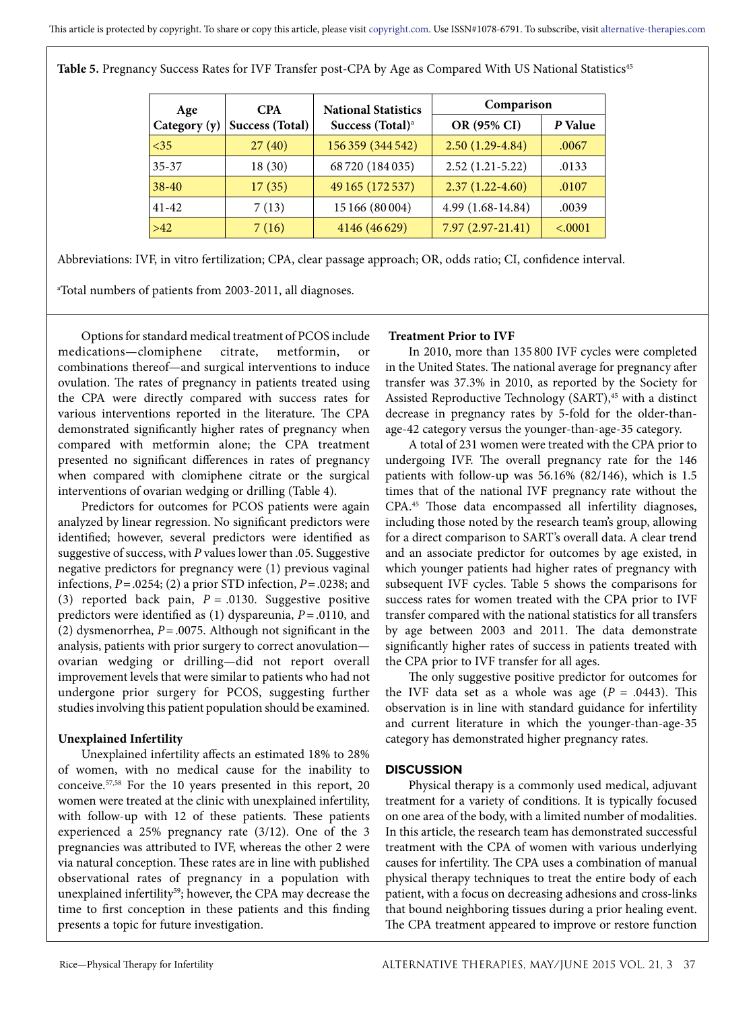Table 5. Pregnancy Success Rates for IVF Transfer post-CPA by Age as Compared With US National Statistics<sup>45</sup>

| Age          | <b>CPA</b>      | <b>National Statistics</b>   | Comparison          |         |  |
|--------------|-----------------|------------------------------|---------------------|---------|--|
| Category (y) | Success (Total) | Success (Total) <sup>a</sup> | OR (95% CI)         | P Value |  |
| $<$ 35       | 27(40)          | 156 359 (344 542)            | $2.50(1.29-4.84)$   | .0067   |  |
| $35 - 37$    | 18(30)          | 68720 (184035)               | $2.52(1.21-5.22)$   | .0133   |  |
| $38-40$      | 17(35)          | 49 165 (172 537)             | $2.37(1.22 - 4.60)$ | .0107   |  |
| $41 - 42$    | 7(13)           | 15 166 (80 004)              | 4.99 (1.68-14.84)   | .0039   |  |
| $>42$        | 7(16)           | 4146 (46629)                 | $7.97(2.97-21.41)$  | < .0001 |  |

Abbreviations: IVF, in vitro fertilization; CPA, clear passage approach; OR, odds ratio; CI, confidence interval.

a Total numbers of patients from 2003-2011, all diagnoses.

Options for standard medical treatment of PCOS include medications—clomiphene citrate, metformin, or combinations thereof—and surgical interventions to induce ovulation. The rates of pregnancy in patients treated using the CPA were directly compared with success rates for various interventions reported in the literature. The CPA demonstrated significantly higher rates of pregnancy when compared with metformin alone; the CPA treatment presented no significant differences in rates of pregnancy when compared with clomiphene citrate or the surgical interventions of ovarian wedging or drilling (Table 4).

Predictors for outcomes for PCOS patients were again analyzed by linear regression. No significant predictors were identified; however, several predictors were identified as suggestive of success, with *P* values lower than .05. Suggestive negative predictors for pregnancy were (1) previous vaginal infections, *P*=.0254; (2) a prior STD infection, *P*=.0238; and (3) reported back pain, *P* = .0130. Suggestive positive predictors were identified as (1) dyspareunia, *P* =.0110, and (2) dysmenorrhea, *P*=.0075. Although not significant in the analysis, patients with prior surgery to correct anovulation ovarian wedging or drilling—did not report overall improvement levels that were similar to patients who had not undergone prior surgery for PCOS, suggesting further studies involving this patient population should be examined.

#### **Unexplained Infertility**

Unexplained infertility affects an estimated 18% to 28% of women, with no medical cause for the inability to conceive.57,58 For the 10 years presented in this report, 20 women were treated at the clinic with unexplained infertility, with follow-up with 12 of these patients. These patients experienced a 25% pregnancy rate (3/12). One of the 3 pregnancies was attributed to IVF, whereas the other 2 were via natural conception. These rates are in line with published observational rates of pregnancy in a population with unexplained infertility<sup>59</sup>; however, the CPA may decrease the time to first conception in these patients and this finding presents a topic for future investigation.

#### **Treatment Prior to IVF**

In 2010, more than 135 800 IVF cycles were completed in the United States. The national average for pregnancy after transfer was 37.3% in 2010, as reported by the Society for Assisted Reproductive Technology (SART),<sup>45</sup> with a distinct decrease in pregnancy rates by 5-fold for the older-thanage-42 category versus the younger-than-age-35 category.

A total of 231 women were treated with the CPA prior to undergoing IVF. The overall pregnancy rate for the 146 patients with follow-up was 56.16% (82/146), which is 1.5 times that of the national IVF pregnancy rate without the CPA.45 Those data encompassed all infertility diagnoses, including those noted by the research team's group, allowing for a direct comparison to SART's overall data. A clear trend and an associate predictor for outcomes by age existed, in which younger patients had higher rates of pregnancy with subsequent IVF cycles. Table 5 shows the comparisons for success rates for women treated with the CPA prior to IVF transfer compared with the national statistics for all transfers by age between 2003 and 2011. The data demonstrate significantly higher rates of success in patients treated with the CPA prior to IVF transfer for all ages.

The only suggestive positive predictor for outcomes for the IVF data set as a whole was age  $(P = .0443)$ . This observation is in line with standard guidance for infertility and current literature in which the younger-than-age-35 category has demonstrated higher pregnancy rates.

### **DISCUSSION**

Physical therapy is a commonly used medical, adjuvant treatment for a variety of conditions. It is typically focused on one area of the body, with a limited number of modalities. In this article, the research team has demonstrated successful treatment with the CPA of women with various underlying causes for infertility. The CPA uses a combination of manual physical therapy techniques to treat the entire body of each patient, with a focus on decreasing adhesions and cross-links that bound neighboring tissues during a prior healing event. The CPA treatment appeared to improve or restore function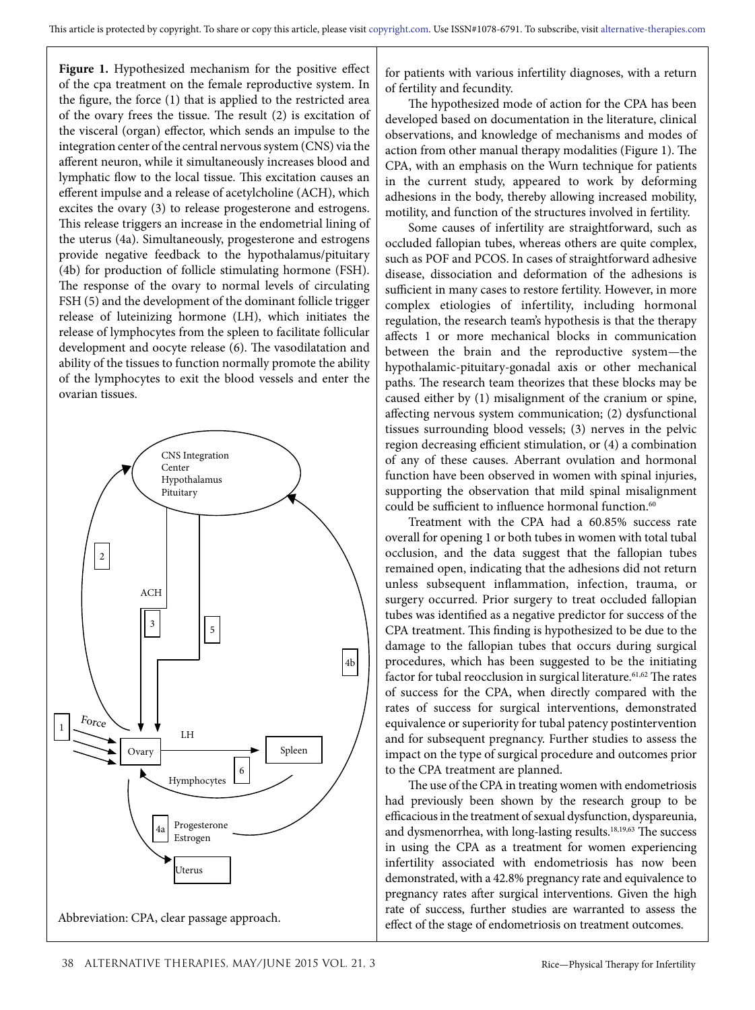**Figure 1.** Hypothesized mechanism for the positive effect of the cpa treatment on the female reproductive system. In the figure, the force (1) that is applied to the restricted area of the ovary frees the tissue. The result (2) is excitation of the visceral (organ) effector, which sends an impulse to the integration center of the central nervous system (CNS) via the afferent neuron, while it simultaneously increases blood and lymphatic flow to the local tissue. This excitation causes an efferent impulse and a release of acetylcholine (ACH), which excites the ovary (3) to release progesterone and estrogens. This release triggers an increase in the endometrial lining of the uterus (4a). Simultaneously, progesterone and estrogens provide negative feedback to the hypothalamus/pituitary (4b) for production of follicle stimulating hormone (FSH). The response of the ovary to normal levels of circulating FSH (5) and the development of the dominant follicle trigger release of luteinizing hormone (LH), which initiates the release of lymphocytes from the spleen to facilitate follicular development and oocyte release (6). The vasodilatation and ability of the tissues to function normally promote the ability of the lymphocytes to exit the blood vessels and enter the ovarian tissues.



for patients with various infertility diagnoses, with a return of fertility and fecundity.

The hypothesized mode of action for the CPA has been developed based on documentation in the literature, clinical observations, and knowledge of mechanisms and modes of action from other manual therapy modalities (Figure 1). The CPA, with an emphasis on the Wurn technique for patients in the current study, appeared to work by deforming adhesions in the body, thereby allowing increased mobility, motility, and function of the structures involved in fertility.

Some causes of infertility are straightforward, such as occluded fallopian tubes, whereas others are quite complex, such as POF and PCOS. In cases of straightforward adhesive disease, dissociation and deformation of the adhesions is sufficient in many cases to restore fertility. However, in more complex etiologies of infertility, including hormonal regulation, the research team's hypothesis is that the therapy affects 1 or more mechanical blocks in communication between the brain and the reproductive system—the hypothalamic-pituitary-gonadal axis or other mechanical paths. The research team theorizes that these blocks may be caused either by (1) misalignment of the cranium or spine, affecting nervous system communication; (2) dysfunctional tissues surrounding blood vessels; (3) nerves in the pelvic region decreasing efficient stimulation, or (4) a combination of any of these causes. Aberrant ovulation and hormonal function have been observed in women with spinal injuries, supporting the observation that mild spinal misalignment could be sufficient to influence hormonal function.<sup>60</sup>

Treatment with the CPA had a 60.85% success rate overall for opening 1 or both tubes in women with total tubal occlusion, and the data suggest that the fallopian tubes remained open, indicating that the adhesions did not return unless subsequent inflammation, infection, trauma, or surgery occurred. Prior surgery to treat occluded fallopian tubes was identified as a negative predictor for success of the CPA treatment. This finding is hypothesized to be due to the damage to the fallopian tubes that occurs during surgical procedures, which has been suggested to be the initiating factor for tubal reocclusion in surgical literature.<sup>61,62</sup> The rates of success for the CPA, when directly compared with the rates of success for surgical interventions, demonstrated equivalence or superiority for tubal patency postintervention and for subsequent pregnancy. Further studies to assess the impact on the type of surgical procedure and outcomes prior to the CPA treatment are planned.

The use of the CPA in treating women with endometriosis had previously been shown by the research group to be efficacious in the treatment of sexual dysfunction, dyspareunia, and dysmenorrhea, with long-lasting results.18,19,63 The success in using the CPA as a treatment for women experiencing infertility associated with endometriosis has now been demonstrated, with a 42.8% pregnancy rate and equivalence to pregnancy rates after surgical interventions. Given the high rate of success, further studies are warranted to assess the effect of the stage of endometriosis on treatment outcomes.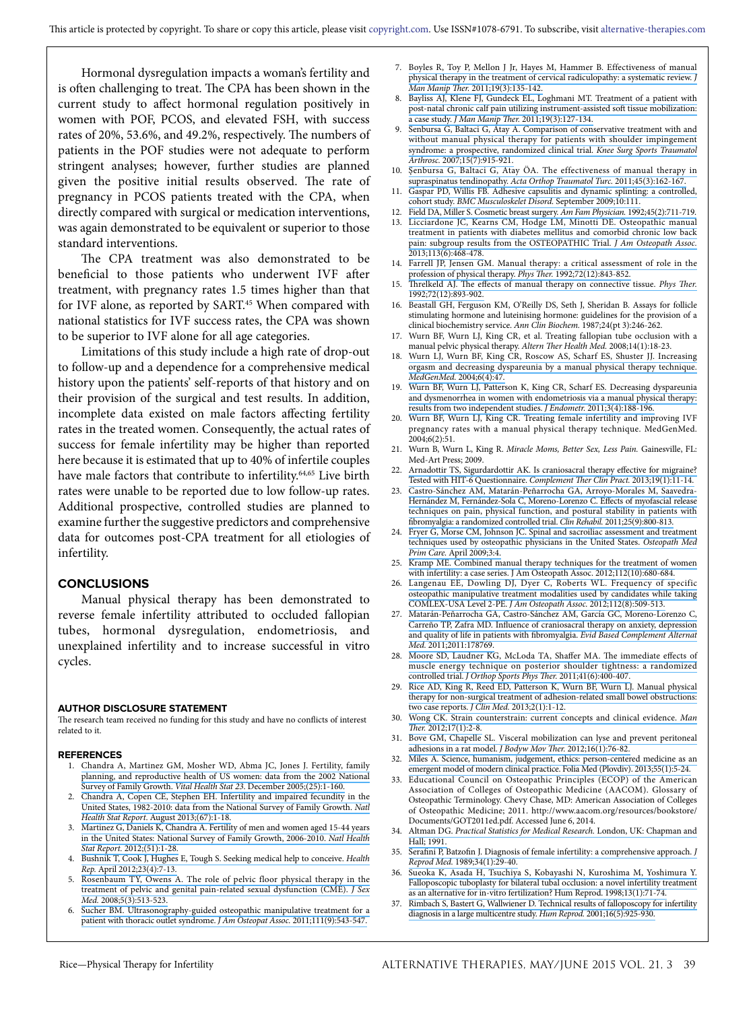Hormonal dysregulation impacts a woman's fertility and is often challenging to treat. The CPA has been shown in the current study to affect hormonal regulation positively in women with POF, PCOS, and elevated FSH, with success rates of 20%, 53.6%, and 49.2%, respectively. The numbers of patients in the POF studies were not adequate to perform stringent analyses; however, further studies are planned given the positive initial results observed. The rate of pregnancy in PCOS patients treated with the CPA, when directly compared with surgical or medication interventions, was again demonstrated to be equivalent or superior to those standard interventions.

The CPA treatment was also demonstrated to be beneficial to those patients who underwent IVF after treatment, with pregnancy rates 1.5 times higher than that for IVF alone, as reported by SART.<sup>45</sup> When compared with national statistics for IVF success rates, the CPA was shown to be superior to IVF alone for all age categories.

Limitations of this study include a high rate of drop-out to follow-up and a dependence for a comprehensive medical history upon the patients' self-reports of that history and on their provision of the surgical and test results. In addition, incomplete data existed on male factors affecting fertility rates in the treated women. Consequently, the actual rates of success for female infertility may be higher than reported here because it is estimated that up to 40% of infertile couples have male factors that contribute to infertility.<sup>64,65</sup> Live birth rates were unable to be reported due to low follow-up rates. Additional prospective, controlled studies are planned to examine further the suggestive predictors and comprehensive data for outcomes post-CPA treatment for all etiologies of infertility.

#### **CONCLUSIONS**

Manual physical therapy has been demonstrated to reverse female infertility attributed to occluded fallopian tubes, hormonal dysregulation, endometriosis, and unexplained infertility and to increase successful in vitro cycles.

#### **AUTHOR DISCLOSURE STATEMENT**

The research team received no funding for this study and have no conflicts of interest related to it.

#### **REFERENCES**

- 1. [Chandra A, Martinez GM, Mosher WD, Abma JC, Jones J. Fertility, family](https://www.researchgate.net/publication/7245157_Fertility_Family_Planning_and_Reproductive_Health_of_US_Women_Data_from_the_2002_National_Survey_of_Family_Growth?el=1_x_8&enrichId=rgreq-bb74cbdd35b6b7f3f8df5222050a7539-XXX&enrichSource=Y292ZXJQYWdlOzI3MjUxMzY3NTtBUzoyMDMzMDc5NDAzNTYxMjJAMTQyNTQ4Mzc5ODg0NA==)  [planning, and reproductive health of US women: data from the 2002 National](https://www.researchgate.net/publication/7245157_Fertility_Family_Planning_and_Reproductive_Health_of_US_Women_Data_from_the_2002_National_Survey_of_Family_Growth?el=1_x_8&enrichId=rgreq-bb74cbdd35b6b7f3f8df5222050a7539-XXX&enrichSource=Y292ZXJQYWdlOzI3MjUxMzY3NTtBUzoyMDMzMDc5NDAzNTYxMjJAMTQyNTQ4Mzc5ODg0NA==)  Survey of Family Growth. *Vital Health Stat 23*[. December 2005;\(25\):1-160.](https://www.researchgate.net/publication/7245157_Fertility_Family_Planning_and_Reproductive_Health_of_US_Women_Data_from_the_2002_National_Survey_of_Family_Growth?el=1_x_8&enrichId=rgreq-bb74cbdd35b6b7f3f8df5222050a7539-XXX&enrichSource=Y292ZXJQYWdlOzI3MjUxMzY3NTtBUzoyMDMzMDc5NDAzNTYxMjJAMTQyNTQ4Mzc5ODg0NA==)
- 2. [Chandra A, Copen CE, Stephen EH. Infertility and impaired fecundity in the](https://www.researchgate.net/publication/263711368_Infertility_and_impaired_fecundity_in_the_United_States_1982-2010_Data_from_the_National_Survey_of_Family_Growth?el=1_x_8&enrichId=rgreq-bb74cbdd35b6b7f3f8df5222050a7539-XXX&enrichSource=Y292ZXJQYWdlOzI3MjUxMzY3NTtBUzoyMDMzMDc5NDAzNTYxMjJAMTQyNTQ4Mzc5ODg0NA==)  [United States, 1982-2010: data from the National Survey of Family Growth.](https://www.researchgate.net/publication/263711368_Infertility_and_impaired_fecundity_in_the_United_States_1982-2010_Data_from_the_National_Survey_of_Family_Growth?el=1_x_8&enrichId=rgreq-bb74cbdd35b6b7f3f8df5222050a7539-XXX&enrichSource=Y292ZXJQYWdlOzI3MjUxMzY3NTtBUzoyMDMzMDc5NDAzNTYxMjJAMTQyNTQ4Mzc5ODg0NA==) *Natl Health Stat Report*[. August 2013;\(67\):1-18.](https://www.researchgate.net/publication/263711368_Infertility_and_impaired_fecundity_in_the_United_States_1982-2010_Data_from_the_National_Survey_of_Family_Growth?el=1_x_8&enrichId=rgreq-bb74cbdd35b6b7f3f8df5222050a7539-XXX&enrichSource=Y292ZXJQYWdlOzI3MjUxMzY3NTtBUzoyMDMzMDc5NDAzNTYxMjJAMTQyNTQ4Mzc5ODg0NA==)
- 3. [Martinez G, Daniels K, Chandra A. Fertility of men and women aged 15-44 years](https://www.researchgate.net/publication/224022852_Fertility_of_Men_and_Women_Aged_15-44_Years_in_the_United_States_National_Survey_of_Family_Growth_2006-2010?el=1_x_8&enrichId=rgreq-bb74cbdd35b6b7f3f8df5222050a7539-XXX&enrichSource=Y292ZXJQYWdlOzI3MjUxMzY3NTtBUzoyMDMzMDc5NDAzNTYxMjJAMTQyNTQ4Mzc5ODg0NA==)  [in the United States: National Survey of Family Growth, 2006-2010.](https://www.researchgate.net/publication/224022852_Fertility_of_Men_and_Women_Aged_15-44_Years_in_the_United_States_National_Survey_of_Family_Growth_2006-2010?el=1_x_8&enrichId=rgreq-bb74cbdd35b6b7f3f8df5222050a7539-XXX&enrichSource=Y292ZXJQYWdlOzI3MjUxMzY3NTtBUzoyMDMzMDc5NDAzNTYxMjJAMTQyNTQ4Mzc5ODg0NA==) *Natl Health Stat Report.* [2012;\(51\):1-28.](https://www.researchgate.net/publication/224022852_Fertility_of_Men_and_Women_Aged_15-44_Years_in_the_United_States_National_Survey_of_Family_Growth_2006-2010?el=1_x_8&enrichId=rgreq-bb74cbdd35b6b7f3f8df5222050a7539-XXX&enrichSource=Y292ZXJQYWdlOzI3MjUxMzY3NTtBUzoyMDMzMDc5NDAzNTYxMjJAMTQyNTQ4Mzc5ODg0NA==)
- 4. [Bushnik T, Cook J, Hughes E, Tough S. Seeking medical help to conceive.](https://www.researchgate.net/publication/235364792_Seeking_medical_help_to_conceive?el=1_x_8&enrichId=rgreq-bb74cbdd35b6b7f3f8df5222050a7539-XXX&enrichSource=Y292ZXJQYWdlOzI3MjUxMzY3NTtBUzoyMDMzMDc5NDAzNTYxMjJAMTQyNTQ4Mzc5ODg0NA==) *Health Rep.* [April 2012;23\(4\):7-13.](https://www.researchgate.net/publication/235364792_Seeking_medical_help_to_conceive?el=1_x_8&enrichId=rgreq-bb74cbdd35b6b7f3f8df5222050a7539-XXX&enrichSource=Y292ZXJQYWdlOzI3MjUxMzY3NTtBUzoyMDMzMDc5NDAzNTYxMjJAMTQyNTQ4Mzc5ODg0NA==)
- 5. [Rosenbaum TY, Owens A. The role of pelvic floor physical therapy in the](https://www.researchgate.net/publication/227635227_The_Role_of_Pelvic_Floor_Physical_Therapy_in_the_Treatment_of_Pelvic_and_Genital_Pain-Related_Sexual_Dysfunction_CME?el=1_x_8&enrichId=rgreq-bb74cbdd35b6b7f3f8df5222050a7539-XXX&enrichSource=Y292ZXJQYWdlOzI3MjUxMzY3NTtBUzoyMDMzMDc5NDAzNTYxMjJAMTQyNTQ4Mzc5ODg0NA==)  [treatment of pelvic and genital pain-related sexual dysfunction \(CME\).](https://www.researchgate.net/publication/227635227_The_Role_of_Pelvic_Floor_Physical_Therapy_in_the_Treatment_of_Pelvic_and_Genital_Pain-Related_Sexual_Dysfunction_CME?el=1_x_8&enrichId=rgreq-bb74cbdd35b6b7f3f8df5222050a7539-XXX&enrichSource=Y292ZXJQYWdlOzI3MjUxMzY3NTtBUzoyMDMzMDc5NDAzNTYxMjJAMTQyNTQ4Mzc5ODg0NA==) *J Sex Med.* [2008;5\(3\):513-523.](https://www.researchgate.net/publication/227635227_The_Role_of_Pelvic_Floor_Physical_Therapy_in_the_Treatment_of_Pelvic_and_Genital_Pain-Related_Sexual_Dysfunction_CME?el=1_x_8&enrichId=rgreq-bb74cbdd35b6b7f3f8df5222050a7539-XXX&enrichSource=Y292ZXJQYWdlOzI3MjUxMzY3NTtBUzoyMDMzMDc5NDAzNTYxMjJAMTQyNTQ4Mzc5ODg0NA==)
- 6. [Sucher BM. Ultrasonography-guided osteopathic manipulative treatment for a](https://www.researchgate.net/publication/51678240_Ultrasonography-Guided_Osteopathic_manipulative_treatment_for_a_patient_with_thoracic_outlet_syndrome?el=1_x_8&enrichId=rgreq-bb74cbdd35b6b7f3f8df5222050a7539-XXX&enrichSource=Y292ZXJQYWdlOzI3MjUxMzY3NTtBUzoyMDMzMDc5NDAzNTYxMjJAMTQyNTQ4Mzc5ODg0NA==)  [patient with thoracic outlet syndrome.](https://www.researchgate.net/publication/51678240_Ultrasonography-Guided_Osteopathic_manipulative_treatment_for_a_patient_with_thoracic_outlet_syndrome?el=1_x_8&enrichId=rgreq-bb74cbdd35b6b7f3f8df5222050a7539-XXX&enrichSource=Y292ZXJQYWdlOzI3MjUxMzY3NTtBUzoyMDMzMDc5NDAzNTYxMjJAMTQyNTQ4Mzc5ODg0NA==) *J Am Osteopat Assoc.* 2011;111(9):543-547.
- 7. [Boyles R, Toy P, Mellon J Jr, Hayes M, Hammer B. Effectiveness of manual](https://www.researchgate.net/publication/230593184_Effectiveness_of_manual_physical_therapy_in_the_treatment_of_cervical_radiculopathy_A_systematic_review?el=1_x_8&enrichId=rgreq-bb74cbdd35b6b7f3f8df5222050a7539-XXX&enrichSource=Y292ZXJQYWdlOzI3MjUxMzY3NTtBUzoyMDMzMDc5NDAzNTYxMjJAMTQyNTQ4Mzc5ODg0NA==) [physical therapy in the treatment of cervical radiculopathy: a systematic review.](https://www.researchgate.net/publication/230593184_Effectiveness_of_manual_physical_therapy_in_the_treatment_of_cervical_radiculopathy_A_systematic_review?el=1_x_8&enrichId=rgreq-bb74cbdd35b6b7f3f8df5222050a7539-XXX&enrichSource=Y292ZXJQYWdlOzI3MjUxMzY3NTtBUzoyMDMzMDc5NDAzNTYxMjJAMTQyNTQ4Mzc5ODg0NA==) *J Man Manip Ther.* [2011;19\(3\):135-142.](https://www.researchgate.net/publication/230593184_Effectiveness_of_manual_physical_therapy_in_the_treatment_of_cervical_radiculopathy_A_systematic_review?el=1_x_8&enrichId=rgreq-bb74cbdd35b6b7f3f8df5222050a7539-XXX&enrichSource=Y292ZXJQYWdlOzI3MjUxMzY3NTtBUzoyMDMzMDc5NDAzNTYxMjJAMTQyNTQ4Mzc5ODg0NA==)
- 8. [Bayliss AJ, Klene FJ, Gundeck EL, Loghmani MT. Treatment of a patient with](https://www.researchgate.net/publication/230593183_Treatment_of_a_patient_with_post-natal_chronic_calf_pain_utilizing_instrument-assisted_soft_tissue_mobilization_A_case_study?el=1_x_8&enrichId=rgreq-bb74cbdd35b6b7f3f8df5222050a7539-XXX&enrichSource=Y292ZXJQYWdlOzI3MjUxMzY3NTtBUzoyMDMzMDc5NDAzNTYxMjJAMTQyNTQ4Mzc5ODg0NA==) [post-natal chronic calf pain utilizing instrument-assisted soft tissue mobilization:](https://www.researchgate.net/publication/230593183_Treatment_of_a_patient_with_post-natal_chronic_calf_pain_utilizing_instrument-assisted_soft_tissue_mobilization_A_case_study?el=1_x_8&enrichId=rgreq-bb74cbdd35b6b7f3f8df5222050a7539-XXX&enrichSource=Y292ZXJQYWdlOzI3MjUxMzY3NTtBUzoyMDMzMDc5NDAzNTYxMjJAMTQyNTQ4Mzc5ODg0NA==) a case study. *J Man Manip Ther.* [2011;19\(3\):127-134.](https://www.researchgate.net/publication/230593183_Treatment_of_a_patient_with_post-natal_chronic_calf_pain_utilizing_instrument-assisted_soft_tissue_mobilization_A_case_study?el=1_x_8&enrichId=rgreq-bb74cbdd35b6b7f3f8df5222050a7539-XXX&enrichSource=Y292ZXJQYWdlOzI3MjUxMzY3NTtBUzoyMDMzMDc5NDAzNTYxMjJAMTQyNTQ4Mzc5ODg0NA==)
- 9. [Senbursa G, Baltaci G, Atay A. Comparison of conservative treatment with and](https://www.researchgate.net/publication/6473814_Comparison_of_conservative_treatment_with_and_without_manual_physical_therapy_for_patients_with_shoulder_impingement_syndrome_A_prospective_randomized_clinical_trial?el=1_x_8&enrichId=rgreq-bb74cbdd35b6b7f3f8df5222050a7539-XXX&enrichSource=Y292ZXJQYWdlOzI3MjUxMzY3NTtBUzoyMDMzMDc5NDAzNTYxMjJAMTQyNTQ4Mzc5ODg0NA==) [without manual physical therapy for patients with shoulder impingement](https://www.researchgate.net/publication/6473814_Comparison_of_conservative_treatment_with_and_without_manual_physical_therapy_for_patients_with_shoulder_impingement_syndrome_A_prospective_randomized_clinical_trial?el=1_x_8&enrichId=rgreq-bb74cbdd35b6b7f3f8df5222050a7539-XXX&enrichSource=Y292ZXJQYWdlOzI3MjUxMzY3NTtBUzoyMDMzMDc5NDAzNTYxMjJAMTQyNTQ4Mzc5ODg0NA==) [syndrome: a prospective, randomized clinical trial.](https://www.researchgate.net/publication/6473814_Comparison_of_conservative_treatment_with_and_without_manual_physical_therapy_for_patients_with_shoulder_impingement_syndrome_A_prospective_randomized_clinical_trial?el=1_x_8&enrichId=rgreq-bb74cbdd35b6b7f3f8df5222050a7539-XXX&enrichSource=Y292ZXJQYWdlOzI3MjUxMzY3NTtBUzoyMDMzMDc5NDAzNTYxMjJAMTQyNTQ4Mzc5ODg0NA==) *Knee Surg Sports Traumatol Arthrosc.* [2007;15\(7\):915-921.](https://www.researchgate.net/publication/6473814_Comparison_of_conservative_treatment_with_and_without_manual_physical_therapy_for_patients_with_shoulder_impingement_syndrome_A_prospective_randomized_clinical_trial?el=1_x_8&enrichId=rgreq-bb74cbdd35b6b7f3f8df5222050a7539-XXX&enrichSource=Y292ZXJQYWdlOzI3MjUxMzY3NTtBUzoyMDMzMDc5NDAzNTYxMjJAMTQyNTQ4Mzc5ODg0NA==)
- 10. [Şenbursa G, Baltaci G, Atay ÖA. The effectiveness of manual therapy in](https://www.researchgate.net/publication/51498482_The_effectiveness_of_manual_therapy_in_supraspinatus_tendinopathy?el=1_x_8&enrichId=rgreq-bb74cbdd35b6b7f3f8df5222050a7539-XXX&enrichSource=Y292ZXJQYWdlOzI3MjUxMzY3NTtBUzoyMDMzMDc5NDAzNTYxMjJAMTQyNTQ4Mzc5ODg0NA==) supraspinatus tendinopathy. *[Acta Orthop Traumatol Turc.](https://www.researchgate.net/publication/51498482_The_effectiveness_of_manual_therapy_in_supraspinatus_tendinopathy?el=1_x_8&enrichId=rgreq-bb74cbdd35b6b7f3f8df5222050a7539-XXX&enrichSource=Y292ZXJQYWdlOzI3MjUxMzY3NTtBUzoyMDMzMDc5NDAzNTYxMjJAMTQyNTQ4Mzc5ODg0NA==)* 2011;45(3):162-167.
- 11. [Gaspar PD, Willis FB. Adhesive capsulitis and dynamic splinting: a controlled,](https://www.researchgate.net/publication/26794555_Adhesive_capsulitis_and_dynamic_splinting_A_controlled_cohort_study?el=1_x_8&enrichId=rgreq-bb74cbdd35b6b7f3f8df5222050a7539-XXX&enrichSource=Y292ZXJQYWdlOzI3MjUxMzY3NTtBUzoyMDMzMDc5NDAzNTYxMjJAMTQyNTQ4Mzc5ODg0NA==) cohort study. *[BMC Musculoskelet Disord.](https://www.researchgate.net/publication/26794555_Adhesive_capsulitis_and_dynamic_splinting_A_controlled_cohort_study?el=1_x_8&enrichId=rgreq-bb74cbdd35b6b7f3f8df5222050a7539-XXX&enrichSource=Y292ZXJQYWdlOzI3MjUxMzY3NTtBUzoyMDMzMDc5NDAzNTYxMjJAMTQyNTQ4Mzc5ODg0NA==)* September 2009;10:111.
- 12. [Field DA, Miller S. Cosmetic breast surgery.](https://www.researchgate.net/publication/21416844_Cosmetic_breast_surgery?el=1_x_8&enrichId=rgreq-bb74cbdd35b6b7f3f8df5222050a7539-XXX&enrichSource=Y292ZXJQYWdlOzI3MjUxMzY3NTtBUzoyMDMzMDc5NDAzNTYxMjJAMTQyNTQ4Mzc5ODg0NA==) *Am Fam Physician.* 1992;45(2):711-719.
- 13. [Licciardone JC, Kearns CM, Hodge LM, Minotti DE. Osteopathic manual](https://www.researchgate.net/publication/237059605_Osteopathic_Manual_Treatment_in_Patients_With_Diabetes_Mellitus_and_Comorbid_Chronic_Low_Back_Pain_Subgroup_Results_From_the_OSTEOPATHIC_Trial?el=1_x_8&enrichId=rgreq-bb74cbdd35b6b7f3f8df5222050a7539-XXX&enrichSource=Y292ZXJQYWdlOzI3MjUxMzY3NTtBUzoyMDMzMDc5NDAzNTYxMjJAMTQyNTQ4Mzc5ODg0NA==) [treatment in patients with diabetes mellitus and comorbid chronic low back](https://www.researchgate.net/publication/237059605_Osteopathic_Manual_Treatment_in_Patients_With_Diabetes_Mellitus_and_Comorbid_Chronic_Low_Back_Pain_Subgroup_Results_From_the_OSTEOPATHIC_Trial?el=1_x_8&enrichId=rgreq-bb74cbdd35b6b7f3f8df5222050a7539-XXX&enrichSource=Y292ZXJQYWdlOzI3MjUxMzY3NTtBUzoyMDMzMDc5NDAzNTYxMjJAMTQyNTQ4Mzc5ODg0NA==) [pain: subgroup results from the OSTEOPATHIC Trial.](https://www.researchgate.net/publication/237059605_Osteopathic_Manual_Treatment_in_Patients_With_Diabetes_Mellitus_and_Comorbid_Chronic_Low_Back_Pain_Subgroup_Results_From_the_OSTEOPATHIC_Trial?el=1_x_8&enrichId=rgreq-bb74cbdd35b6b7f3f8df5222050a7539-XXX&enrichSource=Y292ZXJQYWdlOzI3MjUxMzY3NTtBUzoyMDMzMDc5NDAzNTYxMjJAMTQyNTQ4Mzc5ODg0NA==) *J Am Osteopath Assoc.* [2013;113\(6\):468-478.](https://www.researchgate.net/publication/237059605_Osteopathic_Manual_Treatment_in_Patients_With_Diabetes_Mellitus_and_Comorbid_Chronic_Low_Back_Pain_Subgroup_Results_From_the_OSTEOPATHIC_Trial?el=1_x_8&enrichId=rgreq-bb74cbdd35b6b7f3f8df5222050a7539-XXX&enrichSource=Y292ZXJQYWdlOzI3MjUxMzY3NTtBUzoyMDMzMDc5NDAzNTYxMjJAMTQyNTQ4Mzc5ODg0NA==)
- 14. [Farrell JP, Jensen GM. Manual therapy: a critical assessment of role in the](https://www.researchgate.net/publication/21700579_Manual_therapy_A_critical_assessment_of_role_in_the_profession_of_physical_therapy?el=1_x_8&enrichId=rgreq-bb74cbdd35b6b7f3f8df5222050a7539-XXX&enrichSource=Y292ZXJQYWdlOzI3MjUxMzY3NTtBUzoyMDMzMDc5NDAzNTYxMjJAMTQyNTQ4Mzc5ODg0NA==) [profession of physical therapy.](https://www.researchgate.net/publication/21700579_Manual_therapy_A_critical_assessment_of_role_in_the_profession_of_physical_therapy?el=1_x_8&enrichId=rgreq-bb74cbdd35b6b7f3f8df5222050a7539-XXX&enrichSource=Y292ZXJQYWdlOzI3MjUxMzY3NTtBUzoyMDMzMDc5NDAzNTYxMjJAMTQyNTQ4Mzc5ODg0NA==) *Phys Ther.* 1992;72(12):843-852.
- 15. [Threlkeld AJ. The effects of manual therapy on connective tissue.](https://www.researchgate.net/publication/21700584_The_effects_of_manual_therapy_on_connective_tissue?el=1_x_8&enrichId=rgreq-bb74cbdd35b6b7f3f8df5222050a7539-XXX&enrichSource=Y292ZXJQYWdlOzI3MjUxMzY3NTtBUzoyMDMzMDc5NDAzNTYxMjJAMTQyNTQ4Mzc5ODg0NA==) *Phys Ther.*  [1992;72\(12\):893-902.](https://www.researchgate.net/publication/21700584_The_effects_of_manual_therapy_on_connective_tissue?el=1_x_8&enrichId=rgreq-bb74cbdd35b6b7f3f8df5222050a7539-XXX&enrichSource=Y292ZXJQYWdlOzI3MjUxMzY3NTtBUzoyMDMzMDc5NDAzNTYxMjJAMTQyNTQ4Mzc5ODg0NA==)
- 16. Beastall GH, Ferguson KM, O'Reilly DS, Seth J, Sheridan B. Assays for follicle stimulating hormone and luteinising hormone: guidelines for the provision of a clinical biochemistry service. *Ann Clin Biochem.* 1987;24(pt 3):246-262.
- 17. Wurn BF, Wurn LJ, King CR, et al. Treating fallopian tube occlusion with a manual pelvic physical therapy. *Altern Ther Health Med.* 2008;14(1):18-23.
- 18. [Wurn LJ, Wurn BF, King CR, Roscow AS, Scharf ES, Shuster JJ. Increasing](https://www.researchgate.net/publication/7958849_Increasing_orgasm_and_decreasing_dyspareunia_by_a_manual_physical_therapy_technique?el=1_x_8&enrichId=rgreq-bb74cbdd35b6b7f3f8df5222050a7539-XXX&enrichSource=Y292ZXJQYWdlOzI3MjUxMzY3NTtBUzoyMDMzMDc5NDAzNTYxMjJAMTQyNTQ4Mzc5ODg0NA==) [orgasm and decreasing dyspareunia by a manual physical therapy technique.](https://www.researchgate.net/publication/7958849_Increasing_orgasm_and_decreasing_dyspareunia_by_a_manual_physical_therapy_technique?el=1_x_8&enrichId=rgreq-bb74cbdd35b6b7f3f8df5222050a7539-XXX&enrichSource=Y292ZXJQYWdlOzI3MjUxMzY3NTtBUzoyMDMzMDc5NDAzNTYxMjJAMTQyNTQ4Mzc5ODg0NA==) *[MedGenMed.](https://www.researchgate.net/publication/7958849_Increasing_orgasm_and_decreasing_dyspareunia_by_a_manual_physical_therapy_technique?el=1_x_8&enrichId=rgreq-bb74cbdd35b6b7f3f8df5222050a7539-XXX&enrichSource=Y292ZXJQYWdlOzI3MjUxMzY3NTtBUzoyMDMzMDc5NDAzNTYxMjJAMTQyNTQ4Mzc5ODg0NA==)* 2004;6(4):47.
- 19. [Wurn BF, Wurn LJ, Patterson K, King CR, Scharf ES. Decreasing dyspareunia](https://www.researchgate.net/publication/264454732_Decreasing_dyspareunia_and_dysmenorrhea_in_women_with_endometriosis_via_a_manual_physical_therapy_Results_from_two_independent_studies?el=1_x_8&enrichId=rgreq-bb74cbdd35b6b7f3f8df5222050a7539-XXX&enrichSource=Y292ZXJQYWdlOzI3MjUxMzY3NTtBUzoyMDMzMDc5NDAzNTYxMjJAMTQyNTQ4Mzc5ODg0NA==) [and dysmenorrhea in women with endometriosis via a manual physical therapy:](https://www.researchgate.net/publication/264454732_Decreasing_dyspareunia_and_dysmenorrhea_in_women_with_endometriosis_via_a_manual_physical_therapy_Results_from_two_independent_studies?el=1_x_8&enrichId=rgreq-bb74cbdd35b6b7f3f8df5222050a7539-XXX&enrichSource=Y292ZXJQYWdlOzI3MjUxMzY3NTtBUzoyMDMzMDc5NDAzNTYxMjJAMTQyNTQ4Mzc5ODg0NA==) [results from two independent studies.](https://www.researchgate.net/publication/264454732_Decreasing_dyspareunia_and_dysmenorrhea_in_women_with_endometriosis_via_a_manual_physical_therapy_Results_from_two_independent_studies?el=1_x_8&enrichId=rgreq-bb74cbdd35b6b7f3f8df5222050a7539-XXX&enrichSource=Y292ZXJQYWdlOzI3MjUxMzY3NTtBUzoyMDMzMDc5NDAzNTYxMjJAMTQyNTQ4Mzc5ODg0NA==) *J Endometr.* 2011;3(4):188-196.
- 20. Wurn BF, Wurn LJ, King CR. Treating female infertility and improving IVF pregnancy rates with a manual physical therapy technique. MedGenMed. 2004;6(2):51.
- 21. Wurn B, Wurn L, King R. *Miracle Moms, Better Sex, Less Pain.* Gainesville, FL: Med-Art Press; 2009.
- 22. [Arnadottir TS, Sigurdardottir AK. Is craniosacral therapy effective for migraine?](https://www.researchgate.net/publication/234822959_Is_craniosacral_therapy_effective_for_migraine_Tested_with_HIT-6_Questionnaire?el=1_x_8&enrichId=rgreq-bb74cbdd35b6b7f3f8df5222050a7539-XXX&enrichSource=Y292ZXJQYWdlOzI3MjUxMzY3NTtBUzoyMDMzMDc5NDAzNTYxMjJAMTQyNTQ4Mzc5ODg0NA==) [Tested with HIT-6 Questionnaire.](https://www.researchgate.net/publication/234822959_Is_craniosacral_therapy_effective_for_migraine_Tested_with_HIT-6_Questionnaire?el=1_x_8&enrichId=rgreq-bb74cbdd35b6b7f3f8df5222050a7539-XXX&enrichSource=Y292ZXJQYWdlOzI3MjUxMzY3NTtBUzoyMDMzMDc5NDAzNTYxMjJAMTQyNTQ4Mzc5ODg0NA==) *Complement Ther Clin Pract.* 2013;19(1):11-14.
- 23. [Castro-Sánchez AM, Matarán-Peñarrocha GA, Arroyo-Morales M, Saavedra-](https://www.researchgate.net/publication/51219041_Effects_of_myofascial_release_techniques_on_pain_physical_function_and_postural_stability_in_patients_with_fibromyalgia_A_randomized_controlled_trial?el=1_x_8&enrichId=rgreq-bb74cbdd35b6b7f3f8df5222050a7539-XXX&enrichSource=Y292ZXJQYWdlOzI3MjUxMzY3NTtBUzoyMDMzMDc5NDAzNTYxMjJAMTQyNTQ4Mzc5ODg0NA==)[Hernández M, Fernández-Sola C, Moreno-Lorenzo C. Effects of myofascial release](https://www.researchgate.net/publication/51219041_Effects_of_myofascial_release_techniques_on_pain_physical_function_and_postural_stability_in_patients_with_fibromyalgia_A_randomized_controlled_trial?el=1_x_8&enrichId=rgreq-bb74cbdd35b6b7f3f8df5222050a7539-XXX&enrichSource=Y292ZXJQYWdlOzI3MjUxMzY3NTtBUzoyMDMzMDc5NDAzNTYxMjJAMTQyNTQ4Mzc5ODg0NA==) [techniques on pain, physical function, and postural stability in patients with](https://www.researchgate.net/publication/51219041_Effects_of_myofascial_release_techniques_on_pain_physical_function_and_postural_stability_in_patients_with_fibromyalgia_A_randomized_controlled_trial?el=1_x_8&enrichId=rgreq-bb74cbdd35b6b7f3f8df5222050a7539-XXX&enrichSource=Y292ZXJQYWdlOzI3MjUxMzY3NTtBUzoyMDMzMDc5NDAzNTYxMjJAMTQyNTQ4Mzc5ODg0NA==) [fibromyalgia: a randomized controlled trial.](https://www.researchgate.net/publication/51219041_Effects_of_myofascial_release_techniques_on_pain_physical_function_and_postural_stability_in_patients_with_fibromyalgia_A_randomized_controlled_trial?el=1_x_8&enrichId=rgreq-bb74cbdd35b6b7f3f8df5222050a7539-XXX&enrichSource=Y292ZXJQYWdlOzI3MjUxMzY3NTtBUzoyMDMzMDc5NDAzNTYxMjJAMTQyNTQ4Mzc5ODg0NA==) *Clin Rehabil.* 2011;25(9):800-813.
- 24. [Fryer G, Morse CM, Johnson JC. Spinal and sacroiliac assessment and treatment](https://www.researchgate.net/publication/24277609_Spinal_and_sacroiliac_assessment_and_treatment_techniques_used_by_osteopathic_physicians_in_the_United_States?el=1_x_8&enrichId=rgreq-bb74cbdd35b6b7f3f8df5222050a7539-XXX&enrichSource=Y292ZXJQYWdlOzI3MjUxMzY3NTtBUzoyMDMzMDc5NDAzNTYxMjJAMTQyNTQ4Mzc5ODg0NA==) [techniques used by osteopathic physicians in the United States.](https://www.researchgate.net/publication/24277609_Spinal_and_sacroiliac_assessment_and_treatment_techniques_used_by_osteopathic_physicians_in_the_United_States?el=1_x_8&enrichId=rgreq-bb74cbdd35b6b7f3f8df5222050a7539-XXX&enrichSource=Y292ZXJQYWdlOzI3MjUxMzY3NTtBUzoyMDMzMDc5NDAzNTYxMjJAMTQyNTQ4Mzc5ODg0NA==) *Osteopath Med Prim Care.* [April 2009;3:4.](https://www.researchgate.net/publication/24277609_Spinal_and_sacroiliac_assessment_and_treatment_techniques_used_by_osteopathic_physicians_in_the_United_States?el=1_x_8&enrichId=rgreq-bb74cbdd35b6b7f3f8df5222050a7539-XXX&enrichSource=Y292ZXJQYWdlOzI3MjUxMzY3NTtBUzoyMDMzMDc5NDAzNTYxMjJAMTQyNTQ4Mzc5ODg0NA==)
- 25. [Kramp ME. Combined manual therapy techniques for the treatment of women](https://www.researchgate.net/publication/232232058_Combined_manual_therapy_techniques_for_the_treatment_of_women_with_infertility_Acase_series?el=1_x_8&enrichId=rgreq-bb74cbdd35b6b7f3f8df5222050a7539-XXX&enrichSource=Y292ZXJQYWdlOzI3MjUxMzY3NTtBUzoyMDMzMDc5NDAzNTYxMjJAMTQyNTQ4Mzc5ODg0NA==) [with infertility: a case series. J Am Osteopath Assoc. 2012;112\(10\):680-684.](https://www.researchgate.net/publication/232232058_Combined_manual_therapy_techniques_for_the_treatment_of_women_with_infertility_Acase_series?el=1_x_8&enrichId=rgreq-bb74cbdd35b6b7f3f8df5222050a7539-XXX&enrichSource=Y292ZXJQYWdlOzI3MjUxMzY3NTtBUzoyMDMzMDc5NDAzNTYxMjJAMTQyNTQ4Mzc5ODg0NA==)
- 26. [Langenau EE, Dowling DJ, Dyer C, Roberts WL. Frequency of specific](https://www.researchgate.net/publication/230699107_Frequency_of_specific_osteopathic_manipulative_treatment_modalities_used_by_candidates_while_taking_COMLEX-USA_Level_2-PE?el=1_x_8&enrichId=rgreq-bb74cbdd35b6b7f3f8df5222050a7539-XXX&enrichSource=Y292ZXJQYWdlOzI3MjUxMzY3NTtBUzoyMDMzMDc5NDAzNTYxMjJAMTQyNTQ4Mzc5ODg0NA==) [osteopathic manipulative treatment modalities used by candidates while taking](https://www.researchgate.net/publication/230699107_Frequency_of_specific_osteopathic_manipulative_treatment_modalities_used_by_candidates_while_taking_COMLEX-USA_Level_2-PE?el=1_x_8&enrichId=rgreq-bb74cbdd35b6b7f3f8df5222050a7539-XXX&enrichSource=Y292ZXJQYWdlOzI3MjUxMzY3NTtBUzoyMDMzMDc5NDAzNTYxMjJAMTQyNTQ4Mzc5ODg0NA==) [COMLEX-USA Level 2-PE.](https://www.researchgate.net/publication/230699107_Frequency_of_specific_osteopathic_manipulative_treatment_modalities_used_by_candidates_while_taking_COMLEX-USA_Level_2-PE?el=1_x_8&enrichId=rgreq-bb74cbdd35b6b7f3f8df5222050a7539-XXX&enrichSource=Y292ZXJQYWdlOzI3MjUxMzY3NTtBUzoyMDMzMDc5NDAzNTYxMjJAMTQyNTQ4Mzc5ODg0NA==) *J Am Osteopath Assoc.* 2012;112(8):509-513.
- 27. [Matarán-Peñarrocha GA, Castro-Sánchez AM, García GC, Moreno-Lorenzo C,](https://www.researchgate.net/publication/26788696_Influence_of_Craniosacral_Therapy_on_Anxiety_Depression_and_Quality_of_Life_in_Patients_with_Fibromyalgia?el=1_x_8&enrichId=rgreq-bb74cbdd35b6b7f3f8df5222050a7539-XXX&enrichSource=Y292ZXJQYWdlOzI3MjUxMzY3NTtBUzoyMDMzMDc5NDAzNTYxMjJAMTQyNTQ4Mzc5ODg0NA==) [Carreño TP, Zafra MD. Influence of craniosacral therapy on anxiety, depression](https://www.researchgate.net/publication/26788696_Influence_of_Craniosacral_Therapy_on_Anxiety_Depression_and_Quality_of_Life_in_Patients_with_Fibromyalgia?el=1_x_8&enrichId=rgreq-bb74cbdd35b6b7f3f8df5222050a7539-XXX&enrichSource=Y292ZXJQYWdlOzI3MjUxMzY3NTtBUzoyMDMzMDc5NDAzNTYxMjJAMTQyNTQ4Mzc5ODg0NA==) [and quality of life in patients with fibromyalgia.](https://www.researchgate.net/publication/26788696_Influence_of_Craniosacral_Therapy_on_Anxiety_Depression_and_Quality_of_Life_in_Patients_with_Fibromyalgia?el=1_x_8&enrichId=rgreq-bb74cbdd35b6b7f3f8df5222050a7539-XXX&enrichSource=Y292ZXJQYWdlOzI3MjUxMzY3NTtBUzoyMDMzMDc5NDAzNTYxMjJAMTQyNTQ4Mzc5ODg0NA==) *Evid Based Complement Alternat Med.* [2011;2011:178769.](https://www.researchgate.net/publication/26788696_Influence_of_Craniosacral_Therapy_on_Anxiety_Depression_and_Quality_of_Life_in_Patients_with_Fibromyalgia?el=1_x_8&enrichId=rgreq-bb74cbdd35b6b7f3f8df5222050a7539-XXX&enrichSource=Y292ZXJQYWdlOzI3MjUxMzY3NTtBUzoyMDMzMDc5NDAzNTYxMjJAMTQyNTQ4Mzc5ODg0NA==)
- 28. [Moore SD, Laudner KG, McLoda TA, Shaffer MA. The immediate effects of](https://www.researchgate.net/publication/51030962_The_Immediate_Effects_of_Muscle_Energy_Technique_on_Posterior_Shoulder_Tightness_A_Randomized_Controlled_Trial?el=1_x_8&enrichId=rgreq-bb74cbdd35b6b7f3f8df5222050a7539-XXX&enrichSource=Y292ZXJQYWdlOzI3MjUxMzY3NTtBUzoyMDMzMDc5NDAzNTYxMjJAMTQyNTQ4Mzc5ODg0NA==) [muscle energy technique on posterior shoulder tightness: a randomized](https://www.researchgate.net/publication/51030962_The_Immediate_Effects_of_Muscle_Energy_Technique_on_Posterior_Shoulder_Tightness_A_Randomized_Controlled_Trial?el=1_x_8&enrichId=rgreq-bb74cbdd35b6b7f3f8df5222050a7539-XXX&enrichSource=Y292ZXJQYWdlOzI3MjUxMzY3NTtBUzoyMDMzMDc5NDAzNTYxMjJAMTQyNTQ4Mzc5ODg0NA==) controlled trial. *[J Orthop Sports Phys Ther.](https://www.researchgate.net/publication/51030962_The_Immediate_Effects_of_Muscle_Energy_Technique_on_Posterior_Shoulder_Tightness_A_Randomized_Controlled_Trial?el=1_x_8&enrichId=rgreq-bb74cbdd35b6b7f3f8df5222050a7539-XXX&enrichSource=Y292ZXJQYWdlOzI3MjUxMzY3NTtBUzoyMDMzMDc5NDAzNTYxMjJAMTQyNTQ4Mzc5ODg0NA==)* 2011;41(6):400-407.
- 29. [Rice AD, King R, Reed ED, Patterson K, Wurn BF, Wurn LJ. Manual physical](https://www.researchgate.net/publication/273224834_Manual_Physical_Therapy_for_Non-Surgical_Treatment_of_Adhesion-Related_Small_Bowel_Obstructions_Two_Case_Reports?el=1_x_8&enrichId=rgreq-bb74cbdd35b6b7f3f8df5222050a7539-XXX&enrichSource=Y292ZXJQYWdlOzI3MjUxMzY3NTtBUzoyMDMzMDc5NDAzNTYxMjJAMTQyNTQ4Mzc5ODg0NA==) [therapy for non-surgical treatment of adhesion-related small bowel obstructions:](https://www.researchgate.net/publication/273224834_Manual_Physical_Therapy_for_Non-Surgical_Treatment_of_Adhesion-Related_Small_Bowel_Obstructions_Two_Case_Reports?el=1_x_8&enrichId=rgreq-bb74cbdd35b6b7f3f8df5222050a7539-XXX&enrichSource=Y292ZXJQYWdlOzI3MjUxMzY3NTtBUzoyMDMzMDc5NDAzNTYxMjJAMTQyNTQ4Mzc5ODg0NA==) [two case reports.](https://www.researchgate.net/publication/273224834_Manual_Physical_Therapy_for_Non-Surgical_Treatment_of_Adhesion-Related_Small_Bowel_Obstructions_Two_Case_Reports?el=1_x_8&enrichId=rgreq-bb74cbdd35b6b7f3f8df5222050a7539-XXX&enrichSource=Y292ZXJQYWdlOzI3MjUxMzY3NTtBUzoyMDMzMDc5NDAzNTYxMjJAMTQyNTQ4Mzc5ODg0NA==) *J Clin Med.* 2013;2(1):1-12.
- 30. [Wong CK. Strain counterstrain: current concepts and clinical evidence.](https://www.researchgate.net/publication/51748232_Strain_counterstrain_Current_concepts_and_clinical_evidence?el=1_x_8&enrichId=rgreq-bb74cbdd35b6b7f3f8df5222050a7539-XXX&enrichSource=Y292ZXJQYWdlOzI3MjUxMzY3NTtBUzoyMDMzMDc5NDAzNTYxMjJAMTQyNTQ4Mzc5ODg0NA==) *Man Ther.* [2012;17\(1\):2-8.](https://www.researchgate.net/publication/51748232_Strain_counterstrain_Current_concepts_and_clinical_evidence?el=1_x_8&enrichId=rgreq-bb74cbdd35b6b7f3f8df5222050a7539-XXX&enrichSource=Y292ZXJQYWdlOzI3MjUxMzY3NTtBUzoyMDMzMDc5NDAzNTYxMjJAMTQyNTQ4Mzc5ODg0NA==)
- 31. [Bove GM, Chapelle SL. Visceral mobilization can lyse and prevent peritoneal](https://www.researchgate.net/publication/51922264_Visceral_mobilization_can_lyse_and_prevent_peritoneal_adhesions_in_a_rat_model?el=1_x_8&enrichId=rgreq-bb74cbdd35b6b7f3f8df5222050a7539-XXX&enrichSource=Y292ZXJQYWdlOzI3MjUxMzY3NTtBUzoyMDMzMDc5NDAzNTYxMjJAMTQyNTQ4Mzc5ODg0NA==) [adhesions in a rat model.](https://www.researchgate.net/publication/51922264_Visceral_mobilization_can_lyse_and_prevent_peritoneal_adhesions_in_a_rat_model?el=1_x_8&enrichId=rgreq-bb74cbdd35b6b7f3f8df5222050a7539-XXX&enrichSource=Y292ZXJQYWdlOzI3MjUxMzY3NTtBUzoyMDMzMDc5NDAzNTYxMjJAMTQyNTQ4Mzc5ODg0NA==) *J Bodyw Mov Ther.* 2012;16(1):76-82.
- 32. [Miles A. Science, humanism, judgement, ethics: person-centered medicine as an](https://www.researchgate.net/publication/254262832_Science_humanism_judgement_ethics_person-centered_medicine_as_an_emergent_model_of_modern_clinical_practice?el=1_x_8&enrichId=rgreq-bb74cbdd35b6b7f3f8df5222050a7539-XXX&enrichSource=Y292ZXJQYWdlOzI3MjUxMzY3NTtBUzoyMDMzMDc5NDAzNTYxMjJAMTQyNTQ4Mzc5ODg0NA==) [emergent model of modern clinical practice. Folia Med \(Plovdiv\). 2013;55\(1\):5-24.](https://www.researchgate.net/publication/254262832_Science_humanism_judgement_ethics_person-centered_medicine_as_an_emergent_model_of_modern_clinical_practice?el=1_x_8&enrichId=rgreq-bb74cbdd35b6b7f3f8df5222050a7539-XXX&enrichSource=Y292ZXJQYWdlOzI3MjUxMzY3NTtBUzoyMDMzMDc5NDAzNTYxMjJAMTQyNTQ4Mzc5ODg0NA==)
- 33. Educational Council on Osteopathic Principles (ECOP) of the American Association of Colleges of Osteopathic Medicine (AACOM). Glossary of Osteopathic Terminology. Chevy Chase, MD: American Association of Colleges of Osteopathic Medicine; 2011. http://www.aacom.org/resources/bookstore/ Documents/GOT2011ed.pdf. Accessed June 6, 2014.
- 34. Altman DG. *[Practical Statistics for Medical Research.](https://www.researchgate.net/publication/44523248_Practical_statistics_for_medical_research_Douglas_G_Altman?el=1_x_8&enrichId=rgreq-bb74cbdd35b6b7f3f8df5222050a7539-XXX&enrichSource=Y292ZXJQYWdlOzI3MjUxMzY3NTtBUzoyMDMzMDc5NDAzNTYxMjJAMTQyNTQ4Mzc5ODg0NA==)* London, UK: Chapman and [Hall; 1991.](https://www.researchgate.net/publication/44523248_Practical_statistics_for_medical_research_Douglas_G_Altman?el=1_x_8&enrichId=rgreq-bb74cbdd35b6b7f3f8df5222050a7539-XXX&enrichSource=Y292ZXJQYWdlOzI3MjUxMzY3NTtBUzoyMDMzMDc5NDAzNTYxMjJAMTQyNTQ4Mzc5ODg0NA==)
- 35. [Serafini P, Batzofin J. Diagnosis of female infertility: a comprehensive approach.](https://www.researchgate.net/publication/20505888_Diagnosis_of_female_infertility_A_comprehensive_approach?el=1_x_8&enrichId=rgreq-bb74cbdd35b6b7f3f8df5222050a7539-XXX&enrichSource=Y292ZXJQYWdlOzI3MjUxMzY3NTtBUzoyMDMzMDc5NDAzNTYxMjJAMTQyNTQ4Mzc5ODg0NA==) *J Reprod Med.* [1989;34\(1\):29-40.](https://www.researchgate.net/publication/20505888_Diagnosis_of_female_infertility_A_comprehensive_approach?el=1_x_8&enrichId=rgreq-bb74cbdd35b6b7f3f8df5222050a7539-XXX&enrichSource=Y292ZXJQYWdlOzI3MjUxMzY3NTtBUzoyMDMzMDc5NDAzNTYxMjJAMTQyNTQ4Mzc5ODg0NA==)
- 36. [Sueoka K, Asada H, Tsuchiya S, Kobayashi N, Kuroshima M, Yoshimura Y.](https://www.researchgate.net/publication/51308855_Falloposcopic_tuboplasty_for_bilateral_tubal_occlusion_A_novel_infertility_treatment_as_an_alternative_for_in-vitro_fertilization?el=1_x_8&enrichId=rgreq-bb74cbdd35b6b7f3f8df5222050a7539-XXX&enrichSource=Y292ZXJQYWdlOzI3MjUxMzY3NTtBUzoyMDMzMDc5NDAzNTYxMjJAMTQyNTQ4Mzc5ODg0NA==) [Falloposcopic tuboplasty for bilateral tubal occlusion: a novel infertility treatment](https://www.researchgate.net/publication/51308855_Falloposcopic_tuboplasty_for_bilateral_tubal_occlusion_A_novel_infertility_treatment_as_an_alternative_for_in-vitro_fertilization?el=1_x_8&enrichId=rgreq-bb74cbdd35b6b7f3f8df5222050a7539-XXX&enrichSource=Y292ZXJQYWdlOzI3MjUxMzY3NTtBUzoyMDMzMDc5NDAzNTYxMjJAMTQyNTQ4Mzc5ODg0NA==) [as an alternative for in-vitro fertilization? Hum Reprod. 1998;13\(1\):71-74.](https://www.researchgate.net/publication/51308855_Falloposcopic_tuboplasty_for_bilateral_tubal_occlusion_A_novel_infertility_treatment_as_an_alternative_for_in-vitro_fertilization?el=1_x_8&enrichId=rgreq-bb74cbdd35b6b7f3f8df5222050a7539-XXX&enrichSource=Y292ZXJQYWdlOzI3MjUxMzY3NTtBUzoyMDMzMDc5NDAzNTYxMjJAMTQyNTQ4Mzc5ODg0NA==)
- 37. [Rimbach S, Bastert G, Wallwiener D. Technical results of falloposcopy for infertility](https://www.researchgate.net/publication/12004077_Technical_results_of_falloposcopy_for_fertility_diagnosis_in_a_large_multicentre_study?el=1_x_8&enrichId=rgreq-bb74cbdd35b6b7f3f8df5222050a7539-XXX&enrichSource=Y292ZXJQYWdlOzI3MjUxMzY3NTtBUzoyMDMzMDc5NDAzNTYxMjJAMTQyNTQ4Mzc5ODg0NA==) [diagnosis in a large multicentre study.](https://www.researchgate.net/publication/12004077_Technical_results_of_falloposcopy_for_fertility_diagnosis_in_a_large_multicentre_study?el=1_x_8&enrichId=rgreq-bb74cbdd35b6b7f3f8df5222050a7539-XXX&enrichSource=Y292ZXJQYWdlOzI3MjUxMzY3NTtBUzoyMDMzMDc5NDAzNTYxMjJAMTQyNTQ4Mzc5ODg0NA==) *Hum Reprod.* 2001;16(5):925-930.